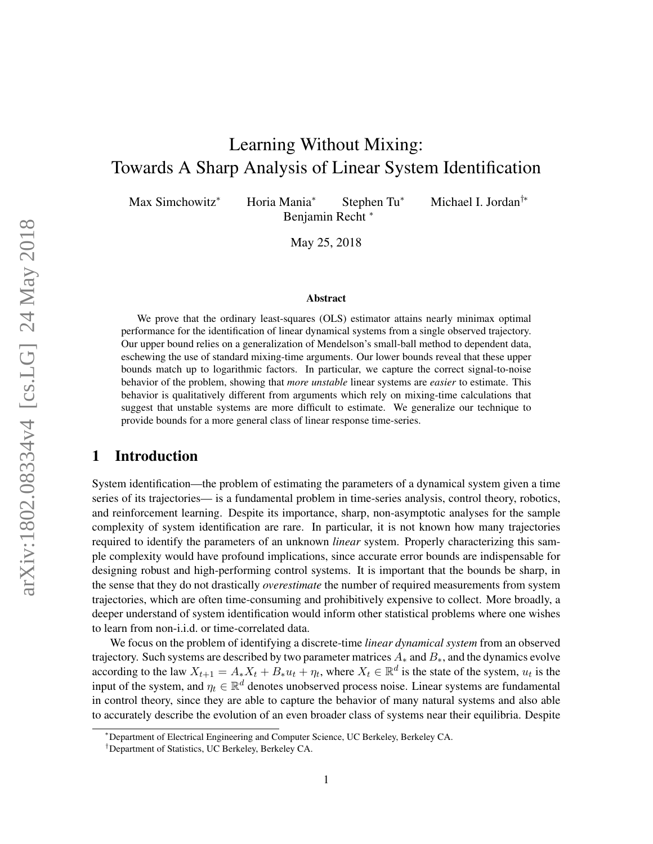# Learning Without Mixing: Towards A Sharp Analysis of Linear System Identification

Max Simchowitz<sup>∗</sup> Horia Mania<sup>∗</sup> Stephen Tu<sup>∗</sup> Michael I. Jordan†∗ Benjamin Recht <sup>∗</sup>

May 25, 2018

#### Abstract

We prove that the ordinary least-squares (OLS) estimator attains nearly minimax optimal performance for the identification of linear dynamical systems from a single observed trajectory. Our upper bound relies on a generalization of Mendelson's small-ball method to dependent data, eschewing the use of standard mixing-time arguments. Our lower bounds reveal that these upper bounds match up to logarithmic factors. In particular, we capture the correct signal-to-noise behavior of the problem, showing that *more unstable* linear systems are *easier* to estimate. This behavior is qualitatively different from arguments which rely on mixing-time calculations that suggest that unstable systems are more difficult to estimate. We generalize our technique to provide bounds for a more general class of linear response time-series.

# 1 Introduction

System identification—the problem of estimating the parameters of a dynamical system given a time series of its trajectories— is a fundamental problem in time-series analysis, control theory, robotics, and reinforcement learning. Despite its importance, sharp, non-asymptotic analyses for the sample complexity of system identification are rare. In particular, it is not known how many trajectories required to identify the parameters of an unknown *linear* system. Properly characterizing this sample complexity would have profound implications, since accurate error bounds are indispensable for designing robust and high-performing control systems. It is important that the bounds be sharp, in the sense that they do not drastically *overestimate* the number of required measurements from system trajectories, which are often time-consuming and prohibitively expensive to collect. More broadly, a deeper understand of system identification would inform other statistical problems where one wishes to learn from non-i.i.d. or time-correlated data.

We focus on the problem of identifying a discrete-time *linear dynamical system* from an observed trajectory. Such systems are described by two parameter matrices  $A_*$  and  $B_*$ , and the dynamics evolve according to the law  $X_{t+1} = A_*X_t + B_*u_t + \eta_t$ , where  $X_t \in \mathbb{R}^d$  is the state of the system,  $u_t$  is the input of the system, and  $\eta_t \in \mathbb{R}^d$  denotes unobserved process noise. Linear systems are fundamental in control theory, since they are able to capture the behavior of many natural systems and also able to accurately describe the evolution of an even broader class of systems near their equilibria. Despite

<sup>∗</sup>Department of Electrical Engineering and Computer Science, UC Berkeley, Berkeley CA.

<sup>†</sup>Department of Statistics, UC Berkeley, Berkeley CA.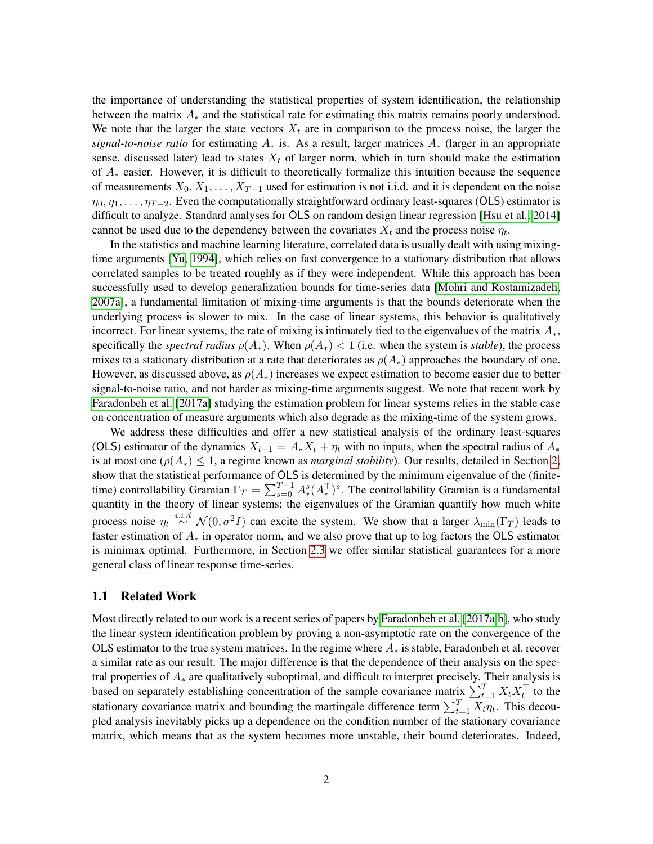the importance of understanding the statistical properties of system identification, the relationship between the matrix  $A_*$  and the statistical rate for estimating this matrix remains poorly understood. We note that the larger the state vectors  $X_t$  are in comparison to the process noise, the larger the *signal-to-noise ratio* for estimating A<sup>∗</sup> is. As a result, larger matrices A<sup>∗</sup> (larger in an appropriate sense, discussed later) lead to states  $X_t$  of larger norm, which in turn should make the estimation of A<sup>∗</sup> easier. However, it is difficult to theoretically formalize this intuition because the sequence of measurements  $X_0, X_1, \ldots, X_{T-1}$  used for estimation is not i.i.d. and it is dependent on the noise  $\eta_0, \eta_1, \ldots, \eta_{T-2}$ . Even the computationally straightforward ordinary least-squares (OLS) estimator is difficult to analyze. Standard analyses for OLS on random design linear regression [\[Hsu et al., 2014\]](#page-12-0) cannot be used due to the dependency between the covariates  $X_t$  and the process noise  $\eta_t$ .

In the statistics and machine learning literature, correlated data is usually dealt with using mixingtime arguments [\[Yu, 1994\]](#page-13-0), which relies on fast convergence to a stationary distribution that allows correlated samples to be treated roughly as if they were independent. While this approach has been successfully used to develop generalization bounds for time-series data [\[Mohri and Rostamizadeh,](#page-13-1) [2007a\]](#page-13-1), a fundamental limitation of mixing-time arguments is that the bounds deteriorate when the underlying process is slower to mix. In the case of linear systems, this behavior is qualitatively incorrect. For linear systems, the rate of mixing is intimately tied to the eigenvalues of the matrix  $A_*$ , specifically the *spectral radius*  $\rho(A_*)$ . When  $\rho(A_*)$  < 1 (i.e. when the system is *stable*), the process mixes to a stationary distribution at a rate that deteriorates as  $\rho(A_*)$  approaches the boundary of one. However, as discussed above, as  $\rho(A_*)$  increases we expect estimation to become easier due to better signal-to-noise ratio, and not harder as mixing-time arguments suggest. We note that recent work by [Faradonbeh et al.](#page-12-1) [\[2017a\]](#page-12-1) studying the estimation problem for linear systems relies in the stable case on concentration of measure arguments which also degrade as the mixing-time of the system grows.

We address these difficulties and offer a new statistical analysis of the ordinary least-squares (OLS) estimator of the dynamics  $X_{t+1} = A_* X_t + \eta_t$  with no inputs, when the spectral radius of  $A_*$ is at most one ( $\rho(A_*) \leq 1$ , a regime known as *marginal stability*). Our results, detailed in Section [2,](#page-3-0) show that the statistical performance of OLS is determined by the minimum eigenvalue of the (finitetime) controllability Gramian  $\Gamma_T = \sum_{s=0}^{T-1} A_*^s (A_*^{\top})^s$ . The controllability Gramian is a fundamental quantity in the theory of linear systems; the eigenvalues of the Gramian quantify how much white process noise  $\eta_t \stackrel{i.i.d}{\sim} \mathcal{N}(0, \sigma^2 I)$  can excite the system. We show that a larger  $\lambda_{\min}(\Gamma_T)$  leads to faster estimation of  $A_*$  in operator norm, and we also prove that up to log factors the OLS estimator is minimax optimal. Furthermore, in Section [2.3](#page-7-0) we offer similar statistical guarantees for a more general class of linear response time-series.

#### 1.1 Related Work

Most directly related to our work is a recent series of papers by [Faradonbeh et al.](#page-12-1) [\[2017a](#page-12-1)[,b\]](#page-12-2), who study the linear system identification problem by proving a non-asymptotic rate on the convergence of the OLS estimator to the true system matrices. In the regime where  $A_*$  is stable, Faradonbeh et al. recover a similar rate as our result. The major difference is that the dependence of their analysis on the spectral properties of  $A_*$  are qualitatively suboptimal, and difficult to interpret precisely. Their analysis is based on separately establishing concentration of the sample covariance matrix  $\sum_{t=1}^{T} X_t X_t^{\top}$  to the stationary covariance matrix and bounding the martingale difference term  $\sum_{t=1}^{T} X_t \eta_t$ . This decoupled analysis inevitably picks up a dependence on the condition number of the stationary covariance matrix, which means that as the system becomes more unstable, their bound deteriorates. Indeed,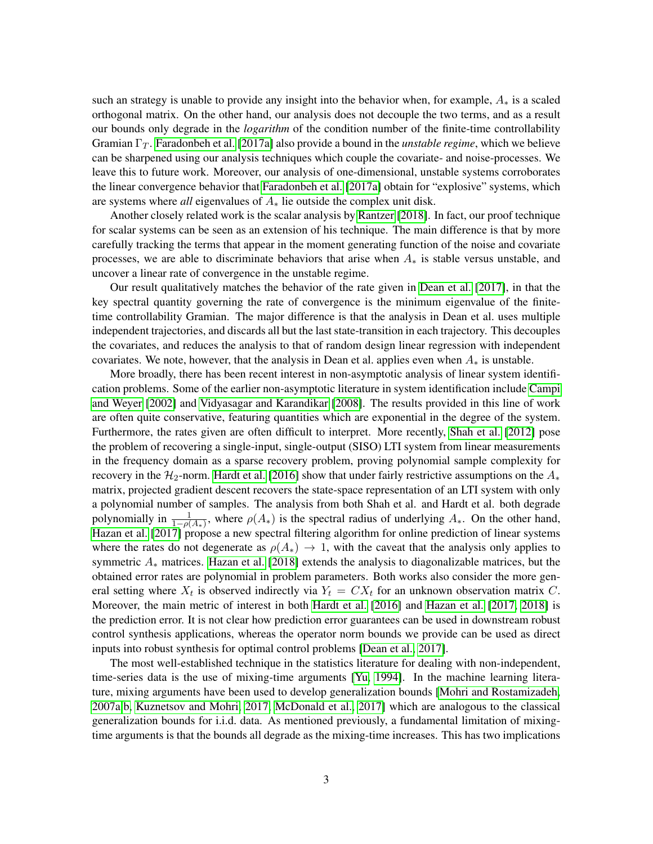such an strategy is unable to provide any insight into the behavior when, for example,  $A_*$  is a scaled orthogonal matrix. On the other hand, our analysis does not decouple the two terms, and as a result our bounds only degrade in the *logarithm* of the condition number of the finite-time controllability Gramian  $\Gamma_T$ . [Faradonbeh et al.](#page-12-1) [\[2017a\]](#page-12-1) also provide a bound in the *unstable regime*, which we believe can be sharpened using our analysis techniques which couple the covariate- and noise-processes. We leave this to future work. Moreover, our analysis of one-dimensional, unstable systems corroborates the linear convergence behavior that [Faradonbeh et al.](#page-12-1) [\[2017a\]](#page-12-1) obtain for "explosive" systems, which are systems where *all* eigenvalues of A<sup>∗</sup> lie outside the complex unit disk.

Another closely related work is the scalar analysis by [Rantzer](#page-13-2) [\[2018\]](#page-13-2). In fact, our proof technique for scalar systems can be seen as an extension of his technique. The main difference is that by more carefully tracking the terms that appear in the moment generating function of the noise and covariate processes, we are able to discriminate behaviors that arise when  $A<sub>*</sub>$  is stable versus unstable, and uncover a linear rate of convergence in the unstable regime.

Our result qualitatively matches the behavior of the rate given in [Dean et al.](#page-12-3) [\[2017\]](#page-12-3), in that the key spectral quantity governing the rate of convergence is the minimum eigenvalue of the finitetime controllability Gramian. The major difference is that the analysis in Dean et al. uses multiple independent trajectories, and discards all but the last state-transition in each trajectory. This decouples the covariates, and reduces the analysis to that of random design linear regression with independent covariates. We note, however, that the analysis in Dean et al. applies even when  $A_*$  is unstable.

More broadly, there has been recent interest in non-asymptotic analysis of linear system identification problems. Some of the earlier non-asymptotic literature in system identification include [Campi](#page-12-4) [and Weyer](#page-12-4) [\[2002\]](#page-12-4) and [Vidyasagar and Karandikar](#page-13-3) [\[2008\]](#page-13-3). The results provided in this line of work are often quite conservative, featuring quantities which are exponential in the degree of the system. Furthermore, the rates given are often difficult to interpret. More recently, [Shah et al.](#page-13-4) [\[2012\]](#page-13-4) pose the problem of recovering a single-input, single-output (SISO) LTI system from linear measurements in the frequency domain as a sparse recovery problem, proving polynomial sample complexity for recovery in the  $\mathcal{H}_2$ -norm. [Hardt et al.](#page-12-5) [\[2016\]](#page-12-5) show that under fairly restrictive assumptions on the  $A_*$ matrix, projected gradient descent recovers the state-space representation of an LTI system with only a polynomial number of samples. The analysis from both Shah et al. and Hardt et al. both degrade polynomially in  $\frac{1}{1-\rho(A_*)}$ , where  $\rho(A_*)$  is the spectral radius of underlying  $A_*$ . On the other hand, [Hazan et al.](#page-12-6) [\[2017\]](#page-12-6) propose a new spectral filtering algorithm for online prediction of linear systems where the rates do not degenerate as  $\rho(A_*) \to 1$ , with the caveat that the analysis only applies to symmetric  $A_*$  matrices. [Hazan et al.](#page-12-7) [\[2018\]](#page-12-7) extends the analysis to diagonalizable matrices, but the obtained error rates are polynomial in problem parameters. Both works also consider the more general setting where  $X_t$  is observed indirectly via  $Y_t = CX_t$  for an unknown observation matrix C. Moreover, the main metric of interest in both [Hardt et al.](#page-12-5) [\[2016\]](#page-12-5) and [Hazan et al.](#page-12-6) [\[2017,](#page-12-6) [2018\]](#page-12-7) is the prediction error. It is not clear how prediction error guarantees can be used in downstream robust control synthesis applications, whereas the operator norm bounds we provide can be used as direct inputs into robust synthesis for optimal control problems [\[Dean et al., 2017\]](#page-12-3).

The most well-established technique in the statistics literature for dealing with non-independent, time-series data is the use of mixing-time arguments [\[Yu, 1994\]](#page-13-0). In the machine learning literature, mixing arguments have been used to develop generalization bounds [\[Mohri and Rostamizadeh,](#page-13-1) [2007a,](#page-13-1)[b,](#page-13-5) [Kuznetsov and Mohri, 2017,](#page-12-8) [McDonald et al., 2017\]](#page-13-6) which are analogous to the classical generalization bounds for i.i.d. data. As mentioned previously, a fundamental limitation of mixingtime arguments is that the bounds all degrade as the mixing-time increases. This has two implications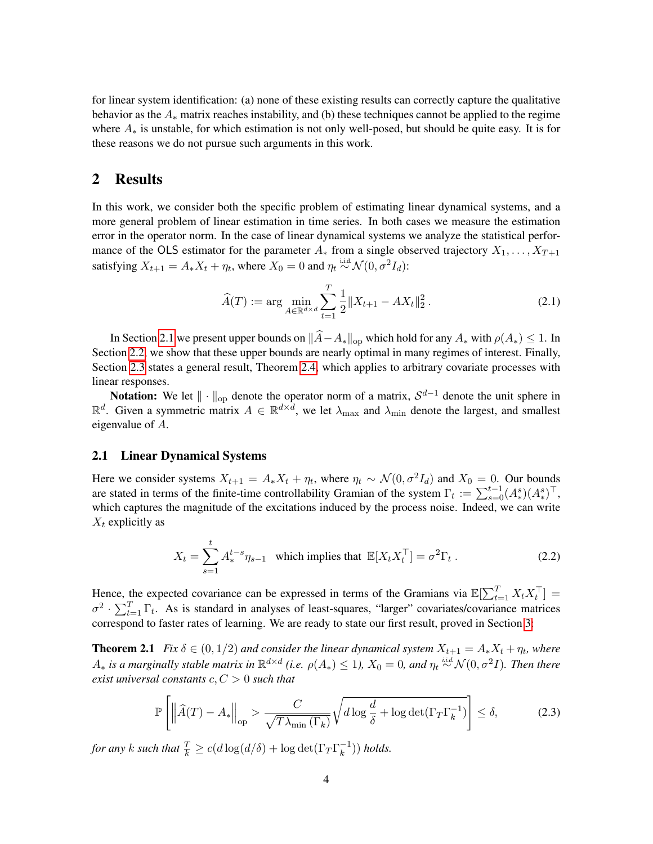for linear system identification: (a) none of these existing results can correctly capture the qualitative behavior as the  $A_*$  matrix reaches instability, and (b) these techniques cannot be applied to the regime where  $A_*$  is unstable, for which estimation is not only well-posed, but should be quite easy. It is for these reasons we do not pursue such arguments in this work.

## <span id="page-3-0"></span>2 Results

In this work, we consider both the specific problem of estimating linear dynamical systems, and a more general problem of linear estimation in time series. In both cases we measure the estimation error in the operator norm. In the case of linear dynamical systems we analyze the statistical performance of the OLS estimator for the parameter  $A_*$  from a single observed trajectory  $X_1, \ldots, X_{T+1}$ satisfying  $X_{t+1} = A_* X_t + \eta_t$ , where  $X_0 = 0$  and  $\eta_t \stackrel{\text{i.i.d.}}{\sim} \mathcal{N}(0, \sigma^2 I_d)$ :

$$
\widehat{A}(T) := \arg \min_{A \in \mathbb{R}^{d \times d}} \sum_{t=1}^{T} \frac{1}{2} \|X_{t+1} - AX_t\|_2^2.
$$
 (2.1)

In Section [2.1](#page-3-1) we present upper bounds on  $\|\widehat{A}-A_*\|_{op}$  which hold for any  $A_*$  with  $\rho(A_*) \leq 1$ . In Section [2.2,](#page-6-0) we show that these upper bounds are nearly optimal in many regimes of interest. Finally, Section [2.3](#page-7-0) states a general result, Theorem [2.4,](#page-7-1) which applies to arbitrary covariate processes with linear responses.

Notation: We let  $\|\cdot\|_{\text{op}}$  denote the operator norm of a matrix,  $S^{d-1}$  denote the unit sphere in  $\mathbb{R}^d$ . Given a symmetric matrix  $A \in \mathbb{R}^{d \times d}$ , we let  $\lambda_{\max}$  and  $\lambda_{\min}$  denote the largest, and smallest eigenvalue of A.

#### <span id="page-3-1"></span>2.1 Linear Dynamical Systems

Here we consider systems  $X_{t+1} = A_* X_t + \eta_t$ , where  $\eta_t \sim \mathcal{N}(0, \sigma^2 I_d)$  and  $X_0 = 0$ . Our bounds are stated in terms of the finite-time controllability Gramian of the system  $\Gamma_t := \sum_{s=0}^{t-1} (A_*^s)(A_*^s)^\top$ , which captures the magnitude of the excitations induced by the process noise. Indeed, we can write  $X_t$  explicitly as

<span id="page-3-3"></span>
$$
X_t = \sum_{s=1}^t A_*^{t-s} \eta_{s-1} \quad \text{which implies that } \mathbb{E}[X_t X_t^\top] = \sigma^2 \Gamma_t \,. \tag{2.2}
$$

Hence, the expected covariance can be expressed in terms of the Gramians via  $\mathbb{E}[\sum_{t=1}^{T} X_t X_t^{\top}] =$  $\sigma^2 \cdot \sum_{t=1}^T \Gamma_t$ . As is standard in analyses of least-squares, "larger" covariates/covariance matrices correspond to faster rates of learning. We are ready to state our first result, proved in Section [3:](#page-8-0)

<span id="page-3-2"></span>**Theorem 2.1** *Fix*  $\delta \in (0, 1/2)$  *and consider the linear dynamical system*  $X_{t+1} = A_* X_t + \eta_t$ *, where*  $A_*$  is a marginally stable matrix in  $\mathbb{R}^{d \times d}$  (i.e.  $\rho(A_*) \le 1$ ),  $X_0 = 0$ , and  $\eta_t \stackrel{i.i.d.}{\sim} \mathcal{N}(0, \sigma^2 I)$ . Then there *exist universal constants* c, C > 0 *such that*

$$
\mathbb{P}\left[\left\|\widehat{A}(T) - A_{*}\right\|_{\text{op}} > \frac{C}{\sqrt{T\lambda_{\min}\left(\Gamma_{k}\right)}}\sqrt{d\log\frac{d}{\delta} + \log\det(\Gamma_{T}\Gamma_{k}^{-1})}\right] \leq \delta,\tag{2.3}
$$

*for any*  $k$  *such that*  $\frac{T}{k} \ge c(d \log(d/\delta) + \log \det(\Gamma_T \Gamma_k^{-1}))$  $\binom{-1}{k}$  *holds.*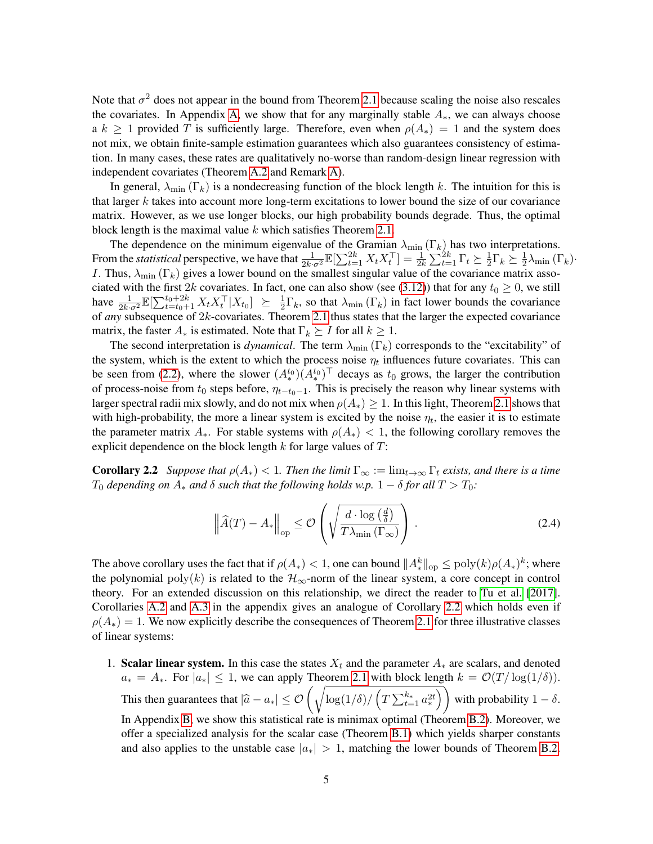Note that  $\sigma^2$  does not appear in the bound from Theorem [2.1](#page-3-2) because scaling the noise also rescales the covariates. In Appendix [A,](#page-13-7) we show that for any marginally stable  $A_*$ , we can always choose a  $k \ge 1$  provided T is sufficiently large. Therefore, even when  $\rho(A_*) = 1$  and the system does not mix, we obtain finite-sample estimation guarantees which also guarantees consistency of estimation. In many cases, these rates are qualitatively no-worse than random-design linear regression with independent covariates (Theorem [A.2](#page-13-8) and Remark [A\)](#page-14-0).

In general,  $\lambda_{\min}(\Gamma_k)$  is a nondecreasing function of the block length k. The intuition for this is that larger  $k$  takes into account more long-term excitations to lower bound the size of our covariance matrix. However, as we use longer blocks, our high probability bounds degrade. Thus, the optimal block length is the maximal value  $k$  which satisfies Theorem [2.1.](#page-3-2)

The dependence on the minimum eigenvalue of the Gramian  $\lambda_{\min}(\Gamma_k)$  has two interpretations. From the *statistical* perspective, we have that  $\frac{1}{2k \cdot \sigma^2} \mathbb{E}[\sum_{t=1}^{2k} X_t X_t^\top] = \frac{1}{2k} \sum_{t=1}^{2k} \Gamma_t \succeq \frac{1}{2}$  $\frac{1}{2}\Gamma_k \succeq \frac{1}{2}$  $\frac{1}{2}\lambda_{\min}(\Gamma_k)$ I. Thus,  $\lambda_{\min}(\Gamma_k)$  gives a lower bound on the smallest singular value of the covariance matrix asso-ciated with the first 2k covariates. In fact, one can also show (see [\(3.12\)](#page-9-0)) that for any  $t_0 \ge 0$ , we still have  $\frac{1}{2k \cdot \sigma^2} \mathbb{E}[\sum_{t=t_0+1}^{t_0+2k} X_t X_t^{\top} | X_{t_0}] \geq \frac{1}{2}$  $\frac{1}{2}\Gamma_k$ , so that  $\lambda_{\min}(\Gamma_k)$  in fact lower bounds the covariance of *any* subsequence of 2k-covariates. Theorem [2.1](#page-3-2) thus states that the larger the expected covariance matrix, the faster  $A_*$  is estimated. Note that  $\Gamma_k \succeq I$  for all  $k \geq 1$ .

The second interpretation is *dynamical*. The term  $\lambda_{\min}(\Gamma_k)$  corresponds to the "excitability" of the system, which is the extent to which the process noise  $\eta_t$  influences future covariates. This can be seen from [\(2.2\)](#page-3-3), where the slower  $(A_*^{t_0})(A_*^{t_0})^{\top}$  decays as  $t_0$  grows, the larger the contribution of process-noise from  $t_0$  steps before,  $\eta_{t-t_0-1}$ . This is precisely the reason why linear systems with larger spectral radii mix slowly, and do not mix when  $\rho(A_*) \geq 1$ . In this light, Theorem [2.1](#page-3-2) shows that with high-probability, the more a linear system is excited by the noise  $\eta_t$ , the easier it is to estimate the parameter matrix  $A_*$ . For stable systems with  $\rho(A_*) < 1$ , the following corollary removes the explicit dependence on the block length  $k$  for large values of  $T$ :

**Corollary 2.2** *Suppose that*  $\rho(A_*) < 1$ *. Then the limit*  $\Gamma_{\infty} := \lim_{t \to \infty} \Gamma_t$  *exists, and there is a time*  $T_0$  *depending on*  $A_*$  *and*  $\delta$  *such that the following holds w.p.*  $1 - \delta$  *for all*  $T > T_0$ :

<span id="page-4-0"></span>
$$
\left\| \widehat{A}(T) - A_{*} \right\|_{\text{op}} \leq \mathcal{O}\left( \sqrt{\frac{d \cdot \log\left( \frac{d}{\delta} \right)}{T \lambda_{\min} \left( \Gamma_{\infty} \right)}} \right). \tag{2.4}
$$

The above corollary uses the fact that if  $\rho(A_*) < 1$ , one can bound  $\|A_*^k\|_{\text{op}} \le \text{poly}(k) \rho(A_*)^k$ ; where the polynomial  $poly(k)$  is related to the  $\mathcal{H}_{\infty}$ -norm of the linear system, a core concept in control theory. For an extended discussion on this relationship, we direct the reader to [Tu et al.](#page-13-9) [\[2017\]](#page-13-9). Corollaries [A.2](#page-13-8) and [A.3](#page-14-1) in the appendix gives an analogue of Corollary [2.2](#page-4-0) which holds even if  $\rho(A_*) = 1$ . We now explicitly describe the consequences of Theorem [2.1](#page-3-2) for three illustrative classes of linear systems:

1. Scalar linear system. In this case the states  $X_t$  and the parameter  $A_*$  are scalars, and denoted  $a_*=A_*$ . For  $|a_*|\leq 1$ , we can apply Theorem [2.1](#page-3-2) with block length  $k=\mathcal{O}(T/\log(1/\delta)).$ This then guarantees that  $|\hat{a} - a_*| \leq \mathcal{O}\left(\sqrt{\log(1/\delta)/\left(T \sum_{t=1}^{k_*} a_*^{2t}\right)}\right)$  with probability  $1 - \delta$ . In Appendix [B,](#page-19-0) we show this statistical rate is minimax optimal (Theorem [B.2\)](#page-19-1). Moreover, we offer a specialized analysis for the scalar case (Theorem [B.1\)](#page-19-2) which yields sharper constants

and also applies to the unstable case  $|a_*| > 1$ , matching the lower bounds of Theorem [B.2.](#page-19-1)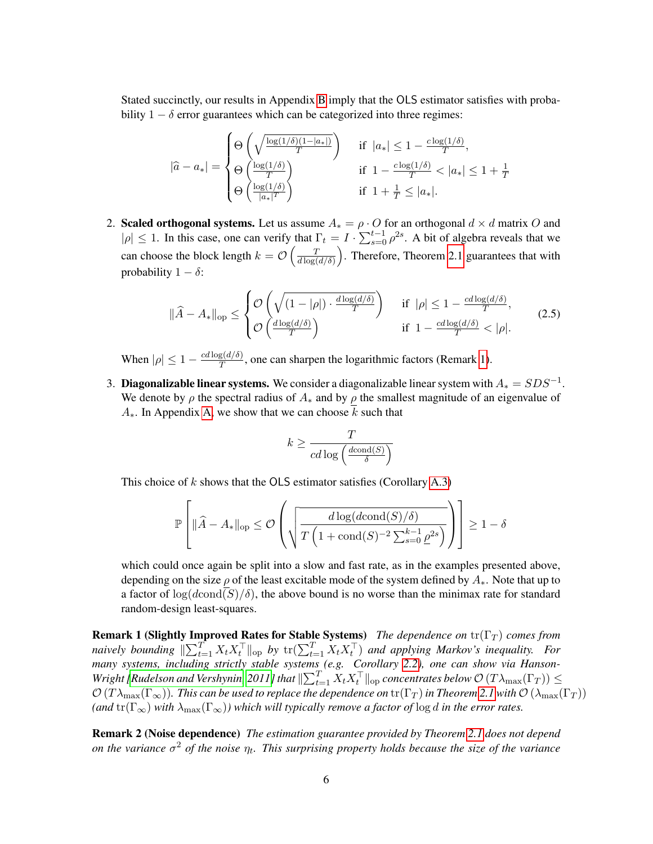Stated succinctly, our results in Appendix [B](#page-19-0) imply that the OLS estimator satisfies with probability  $1 - \delta$  error guarantees which can be categorized into three regimes:

$$
|\hat{a} - a_*| = \begin{cases} \Theta\left(\sqrt{\frac{\log(1/\delta)(1-|a_*|)}{T}}\right) & \text{if } |a_*| \le 1 - \frac{c\log(1/\delta)}{T}, \\ \Theta\left(\frac{\log(1/\delta)}{T}\right) & \text{if } 1 - \frac{c\log(1/\delta)}{T} < |a_*| \le 1 + \frac{1}{T} \\ \Theta\left(\frac{\log(1/\delta)}{|a_*|^T}\right) & \text{if } 1 + \frac{1}{T} \le |a_*|. \end{cases}
$$

2. Scaled orthogonal systems. Let us assume  $A_* = \rho \cdot O$  for an orthogonal  $d \times d$  matrix O and  $|\rho| \leq 1$ . In this case, one can verify that  $\Gamma_t = I \cdot \sum_{s=0}^{t-1} \rho^{2s}$ . A bit of algebra reveals that we can choose the block length  $k = \mathcal{O}\left(\frac{T}{d \log n}\right)$  $\frac{T}{d \log(d/\delta)}$ . Therefore, Theorem [2.1](#page-3-2) guarantees that with probability  $1 - \delta$ :

$$
\|\widehat{A} - A_{*}\|_{\text{op}} \leq \begin{cases} \mathcal{O}\left(\sqrt{(1 - |\rho|) \cdot \frac{d \log(d/\delta)}{T}}\right) & \text{if } |\rho| \leq 1 - \frac{cd \log(d/\delta)}{T}, \\ \mathcal{O}\left(\frac{d \log(d/\delta)}{T}\right) & \text{if } 1 - \frac{cd \log(d/\delta)}{T} < |\rho|. \end{cases} \tag{2.5}
$$

When  $|\rho| \leq 1 - \frac{cd \log(d/\delta)}{T}$  $\frac{g(a/\delta)}{T}$ , one can sharpen the logarithmic factors (Remark [1\)](#page-5-0).

3. Diagonalizable linear systems. We consider a diagonalizable linear system with  $A_* = SDS^{-1}$ . We denote by  $\rho$  the spectral radius of  $A_*$  and by  $\rho$  the smallest magnitude of an eigenvalue of  $A_{*}$ . In Appendix [A,](#page-13-7) we show that we can choose k such that

<span id="page-5-1"></span>
$$
k \ge \frac{T}{cd \log\left(\frac{d \text{cond}(S)}{\delta}\right)}
$$

This choice of  $k$  shows that the OLS estimator satisfies (Corollary [A.3\)](#page-14-1)

$$
\mathbb{P}\left[\|\widehat{A} - A_*\|_{\text{op}} \leq \mathcal{O}\left(\sqrt{\frac{d\log(d\text{cond}(S)/\delta)}{T\left(1 + \text{cond}(S)^{-2}\sum_{s=0}^{k-1}\underline{\rho}^{2s}\right)}}\right)\right] \geq 1 - \delta
$$

which could once again be split into a slow and fast rate, as in the examples presented above, depending on the size  $\rho$  of the least excitable mode of the system defined by  $A_{*}$ . Note that up to a factor of  $\log(d \text{cond}(S)/\delta)$ , the above bound is no worse than the minimax rate for standard random-design least-squares.

<span id="page-5-0"></span>**Remark 1 (Slightly Improved Rates for Stable Systems)** *The dependence on*  $tr(Γ<sub>T</sub>)$  *comes from* naively bounding  $\|\sum_{t=1}^T X_t X_t^\top\|_{\text{op}}$  by  $\text{tr}(\sum_{t=1}^T X_t X_t^\top)$  and applying Markov's inequality. For *many systems, including strictly stable systems (e.g. Corollary [2.2\)](#page-4-0), one can show via Hanson-* $W$ right [\[Rudelson and Vershynin, 2011\]](#page-13-10) that  $\|\sum_{t=1}^T X_t X_t^\top\|_{\text{op}}$  concentrates below  $\mathcal{O}(T\lambda_{\max}(\Gamma_T))\leq$  $\mathcal{O}(T\lambda_{\max}(\Gamma_{\infty}))$ . This can be used to replace the dependence on  $\text{tr}(\Gamma_T)$  in Theorem [2.1](#page-3-2) with  $\mathcal{O}(\lambda_{\max}(\Gamma_T))$  $(\text{and } tr(\Gamma_{\infty})$  *with*  $\lambda_{\max}(\Gamma_{\infty})$ *) which will typically remove a factor of* log *d in the error rates.* 

Remark 2 (Noise dependence) *The estimation guarantee provided by Theorem [2.1](#page-3-2) does not depend on the variance*  $\sigma^2$  *of the noise*  $\eta_t$ . This surprising property holds because the size of the variance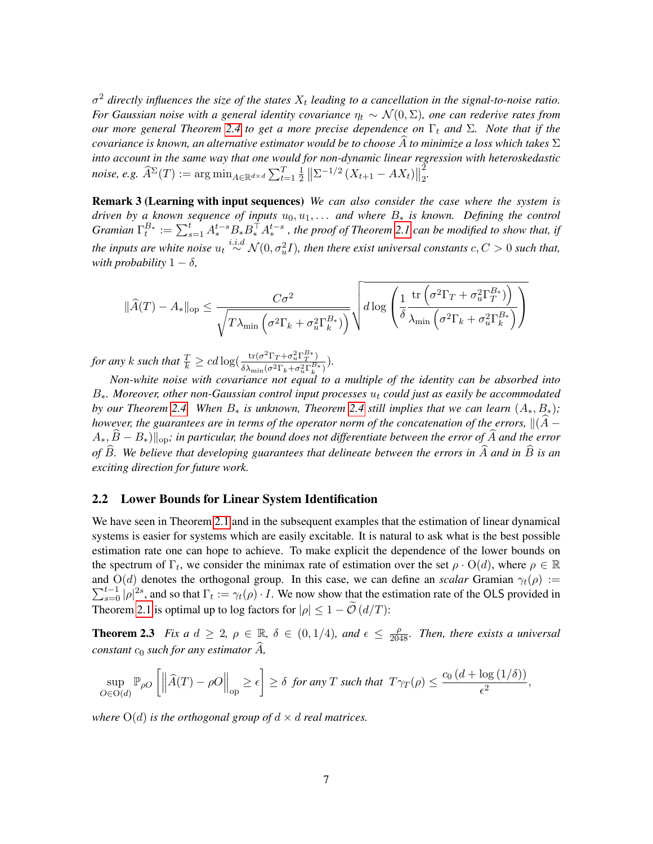$\sigma^2$  directly influences the size of the states  $X_t$  leading to a cancellation in the signal-to-noise ratio. *For Gaussian noise with a general identity covariance*  $\eta_t \sim \mathcal{N}(0, \Sigma)$ *, one can rederive rates from our more general Theorem* [2.4](#page-7-1) *to get a more precise dependence on*  $\Gamma_t$  *and*  $\Sigma$ *. Note that if the covariance is known, an alternative estimator would be to choose A to minimize a loss which takes* Σ *into account in the same way that one would for non-dynamic linear regression with heteroskedastic noise, e.g.*  $\widehat{A}^{\Sigma}(T) := \argmin_{A \in \mathbb{R}^{d \times d}} \sum_{t=1}^T \frac{1}{2}$  $\frac{1}{2} \left\| \sum_{t=1}^{2} (X_{t+1} - AX_t) \right\|$ 2 2 *.*

Remark 3 (Learning with input sequences) *We can also consider the case where the system is driven by a known sequence of inputs*  $u_0, u_1, \ldots$  *and where*  $B_*$  *is known. Defining the control Gramian*  $\Gamma_t^{B_*} := \sum_{s=1}^t A_*^{t-s} B_* B_*^\top A_*^{t-s}$ , the proof of Theorem [2.1](#page-3-2) can be modified to show that, if the inputs are white noise  $u_t \stackrel{i.i.d}{\sim} \mathcal{N}(0, \sigma_u^2 I)$ , then there exist universal constants  $c, C > 0$  such that, *with probability*  $1 - \delta$ *,* 

$$
\|\widehat{A}(T) - A_{*}\|_{\text{op}} \leq \frac{C\sigma^{2}}{\sqrt{T\lambda_{\text{min}}\left(\sigma^{2}\Gamma_{k} + \sigma_{u}^{2}\Gamma_{k}^{B*}\right)}}\sqrt{d\log\left(\frac{1}{\delta}\frac{\text{tr}\left(\sigma^{2}\Gamma_{T} + \sigma_{u}^{2}\Gamma_{T}^{B*}\right)\right)}{\lambda_{\text{min}}\left(\sigma^{2}\Gamma_{k} + \sigma_{u}^{2}\Gamma_{k}^{B*}\right)}}\right)}
$$

*for any k such that*  $\frac{T}{k} \geq cd \log(\frac{\text{tr}(\sigma^2 \Gamma_T + \sigma_u^2 \Gamma_T^{B*})}{\delta \lambda_{\min}(\sigma^2 \Gamma_k + \sigma_u^2 \Gamma_T^{B*})}$  $\frac{\mathrm{tr}(\sigma \cdot \mathbf{1}_T + \sigma_u \mathbf{1}_T)}{\delta \lambda_{\min}(\sigma^2 \Gamma_k + \sigma_u^2 \Gamma_k^{B_*})}.$ 

*Non-white noise with covariance not equal to a multiple of the identity can be absorbed into* B∗*. Moreover, other non-Gaussian control input processes* u<sup>t</sup> *could just as easily be accommodated by our Theorem* [2.4.](#page-7-1) *When*  $B_*$  *is unknown, Theorem* [2.4](#page-7-1) *still implies that we can learn*  $(A_*, B_*)$ ; *however, the guarantees are in terms of the operator norm of the concatenation of the errors,*  $\|$ ( $\tilde{A}$  −  $A_*, \overline{B}-B_*\$ <sub>l</sub><sub>op</sub>; in particular, the bound does not differentiate between the error of A and the error *of*  $\widehat{B}$ *. We believe that developing guarantees that delineate between the errors in*  $\widehat{A}$  *and in*  $\widehat{B}$  *is an exciting direction for future work.*

#### <span id="page-6-0"></span>2.2 Lower Bounds for Linear System Identification

We have seen in Theorem [2.1](#page-3-2) and in the subsequent examples that the estimation of linear dynamical systems is easier for systems which are easily excitable. It is natural to ask what is the best possible estimation rate one can hope to achieve. To make explicit the dependence of the lower bounds on the spectrum of  $\Gamma_t$ , we consider the minimax rate of estimation over the set  $\rho \cdot O(d)$ , where  $\rho \in \mathbb{R}$  $\sum_{s=0}^{t-1} |\rho|^{2s}$ , and so that  $\Gamma_t := \gamma_t(\rho) \cdot I$ . We now show that the estimation rate of the OLS provided in and  $O(d)$  denotes the orthogonal group. In this case, we can define an *scalar* Gramian  $\gamma_t(\rho)$  := Theorem [2.1](#page-3-2) is optimal up to log factors for  $|\rho| \leq 1 - \tilde{\mathcal{O}}(d/T)$ :

**Theorem 2.3** Fix a  $d \geq 2$ ,  $\rho \in \mathbb{R}$ ,  $\delta \in (0, 1/4)$ , and  $\epsilon \leq \frac{\rho}{2048}$ . Then, there exists a universal *constant*  $c_0$  *such for any estimator*  $\widehat{A}$ *,* 

<span id="page-6-1"></span>
$$
\sup_{O\in O(d)} \mathbb{P}_{\rho O}\left[\left\|\widehat{A}(T) - \rho O\right\|_{\text{op}} \ge \epsilon\right] \ge \delta \text{ for any } T \text{ such that } T\gamma_T(\rho) \le \frac{c_0\left(d + \log\left(1/\delta\right)\right)}{\epsilon^2},
$$

*where*  $O(d)$  *is the orthogonal group of*  $d \times d$  *real matrices.*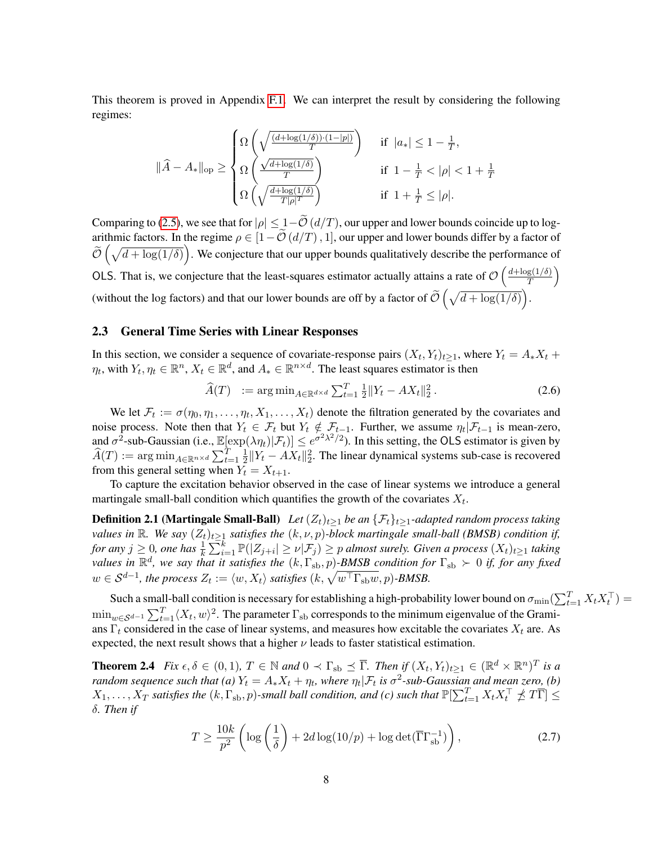This theorem is proved in Appendix [F.1.](#page-28-0) We can interpret the result by considering the following regimes:

$$
\label{eq:bound} \|\widehat{A}-A_*\|_{\mathrm{op}} \geq \begin{cases} \Omega\left(\sqrt{\frac{(d+\log(1/\delta))\cdot(1-|p|)}{T}}\right) & \text{ if } \left|a_*\right| \leq 1-\frac{1}{T}, \\ \Omega\left(\frac{\sqrt{d+\log(1/\delta)}}{T}\right) & \text{ if } \left|1-\frac{1}{T}<|\rho|<1+\frac{1}{T} \\ \Omega\left(\sqrt{\frac{d+\log(1/\delta)}{T|\rho|^{T}}}\right) & \text{ if } \left|1+\frac{1}{T}\leq|\rho|. \end{cases}
$$

Comparing to [\(2.5\)](#page-5-1), we see that for  $|\rho| \leq 1-\tilde{\mathcal{O}}(d/T)$ , our upper and lower bounds coincide up to logarithmic factors. In the regime  $\rho \in [1-\tilde{\mathcal{O}}(d/T), 1]$ , our upper and lower bounds differ by a factor of  $\widetilde{\mathcal{O}}\left(\sqrt{d+\log(1/\delta)}\right)$ . We conjecture that our upper bounds qualitatively describe the performance of OLS. That is, we conjecture that the least-squares estimator actually attains a rate of  $\mathcal{O}\left(\frac{d + \log(1/\delta)}{T}\right)$  $rac{g(1/\delta)}{T}$ (without the log factors) and that our lower bounds are off by a factor of  $\tilde{\mathcal{O}}\left(\sqrt{d+\log(1/\delta)}\right)$ .

### <span id="page-7-0"></span>2.3 General Time Series with Linear Responses

In this section, we consider a sequence of covariate-response pairs  $(X_t, Y_t)_{t \geq 1}$ , where  $Y_t = A_* X_t +$  $\eta_t$ , with  $Y_t, \eta_t \in \mathbb{R}^n$ ,  $X_t \in \mathbb{R}^d$ , and  $A_* \in \mathbb{R}^{n \times d}$ . The least squares estimator is then

$$
\widehat{A}(T) := \arg \min_{A \in \mathbb{R}^{d \times d}} \sum_{t=1}^{T} \frac{1}{2} \|Y_t - AX_t\|_2^2.
$$
 (2.6)

We let  $\mathcal{F}_t := \sigma(\eta_0, \eta_1, \dots, \eta_t, X_1, \dots, X_t)$  denote the filtration generated by the covariates and noise process. Note then that  $Y_t \in \mathcal{F}_t$  but  $Y_t \notin \mathcal{F}_{t-1}$ . Further, we assume  $\eta_t | \mathcal{F}_{t-1}$  is mean-zero, and  $\sigma^2$ -sub-Gaussian (i.e.,  $\mathbb{E}[\exp(\lambda \eta_t)|\mathcal{F}_t] \leq e^{\sigma^2 \lambda^2/2}$ ). In this setting, the OLS estimator is given by  $\widehat{A}(T) := \arg \min_{A \in \mathbb{R}^{n \times d}} \sum_{t=1}^{T} \frac{1}{2}$  $\frac{1}{2}$ ||Y<sub>t</sub> − AX<sub>t</sub>||<sup>2</sup><sub>2</sub>. The linear dynamical systems sub-case is recovered from this general setting when  $Y_t = X_{t+1}$ .

To capture the excitation behavior observed in the case of linear systems we introduce a general martingale small-ball condition which quantifies the growth of the covariates  $X_t$ .

**Definition 2.1 (Martingale Small-Ball)** *Let*  $(Z_t)_{t\geq 1}$  *be an*  $\{\mathcal{F}_t\}_{t\geq 1}$ *-adapted random process taking values in* R*. We say*  $(Z_t)_{t\geq 1}$  *satisfies the*  $(k, \nu, p)$ *-block martingale small-ball (BMSB) condition if,* for any  $j \ge 0$ , one has  $\frac{1}{k} \sum_{i=1}^{k} \mathbb{P}(|Z_{j+i}| \ge \nu | \mathcal{F}_j) \ge p$  almost surely. Given a process  $(X_t)_{t \ge 1}$  taking *values in*  $\mathbb{R}^d$ , we say that it satisfies the  $(k, \Gamma_{sb}, p)$ -BMSB condition for  $\Gamma_{sb} \succ 0$  if, for any fixed  $w \in \mathcal{S}^{d-1}$ , the process  $Z_t := \langle w, X_t \rangle$  satisfies  $(k, \sqrt{w^\top \Gamma_{\textrm{sb}} w}, p)$ -BMSB.

Such a small-ball condition is necessary for establishing a high-probability lower bound on  $\sigma_{\min}(\sum_{t=1}^T X_t X_t^\top) =$  $\min_{w \in \mathcal{S}^{d-1}} \sum_{t=1}^T \langle X_t, w \rangle^2$ . The parameter  $\Gamma_{\text{sb}}$  corresponds to the minimum eigenvalue of the Gramians  $\Gamma_t$  considered in the case of linear systems, and measures how excitable the covariates  $X_t$  are. As expected, the next result shows that a higher  $\nu$  leads to faster statistical estimation.

<span id="page-7-1"></span>**Theorem 2.4** *Fix*  $\epsilon, \delta \in (0, 1)$ ,  $T \in \mathbb{N}$  and  $0 \prec \Gamma_{\rm sb} \preceq \overline{\Gamma}$ . *Then* if  $(X_t, Y_t)_{t \geq 1} \in (\mathbb{R}^d \times \mathbb{R}^n)^T$  is a *random sequence such that (a)*  $Y_t = A_* X_t + \eta_t$ , where  $\eta_t | \mathcal{F}_t$  is  $\sigma^2$ -sub-Gaussian and mean zero, (b)  $X_1,\ldots,X_T$  satisfies the  $(k,\Gamma_{\rm sb},p)$ -small ball condition, and (c) such that  $\mathbb{P}[\sum_{t=1}^T X_tX_t^\top\not\preceq T\overline{\Gamma}]\leq$ δ*. Then if*

<span id="page-7-2"></span>
$$
T \ge \frac{10k}{p^2} \left( \log \left( \frac{1}{\delta} \right) + 2d \log(10/p) + \log \det(\overline{\Gamma} \Gamma_{\text{sb}}^{-1}) \right), \tag{2.7}
$$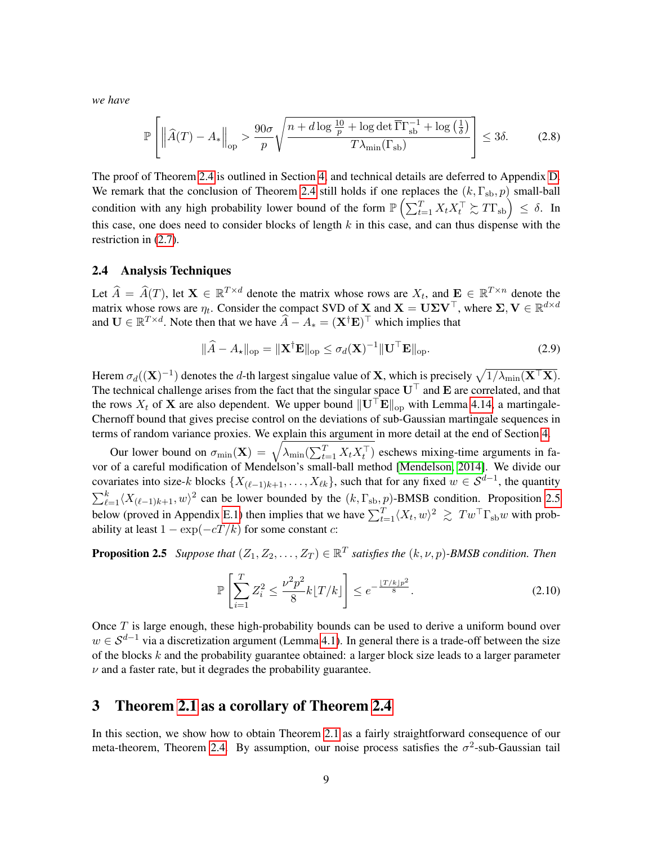*we have*

$$
\mathbb{P}\left[\left\|\widehat{A}(T) - A_{*}\right\|_{\text{op}} > \frac{90\sigma}{p}\sqrt{\frac{n + d\log\frac{10}{p} + \log\det\overline{\Gamma}\Gamma_{\text{sb}}^{-1} + \log\left(\frac{1}{\delta}\right)}{T\lambda_{\min}(\Gamma_{\text{sb}})}}\right] \le 3\delta. \tag{2.8}
$$

The proof of Theorem [2.4](#page-7-1) is outlined in Section [4,](#page-9-1) and technical details are deferred to Appendix [D.](#page-21-0) We remark that the conclusion of Theorem [2.4](#page-7-1) still holds if one replaces the  $(k, \Gamma_{sb}, p)$  small-ball condition with any high probability lower bound of the form  $\mathbb{P}\left(\sum_{t=1}^T X_t X_t^\top \succsim T\Gamma_{\text{sb}}\right) \leq \delta$ . In this case, one does need to consider blocks of length  $k$  in this case, and can thus dispense with the restriction in [\(2.7\)](#page-7-2).

#### 2.4 Analysis Techniques

Let  $\widehat{A} = \widehat{A}(T)$ , let  $\mathbf{X} \in \mathbb{R}^{T \times d}$  denote the matrix whose rows are  $X_t$ , and  $\mathbf{E} \in \mathbb{R}^{T \times n}$  denote the matrix whose rows are  $\eta_t$ . Consider the compact SVD of **X** and  $\mathbf{X} = \mathbf{U} \Sigma \mathbf{V}^\top$ , where  $\Sigma, \mathbf{V} \in \mathbb{R}^{d \times d}$ and  $\mathbf{U} \in \mathbb{R}^{T \times d}$ . Note then that we have  $\widehat{A} - A_* = (\mathbf{X}^\dagger \mathbf{E})^\top$  which implies that

<span id="page-8-2"></span>
$$
\|\widehat{A} - A_{\star}\|_{\text{op}} = \|\mathbf{X}^{\dagger}\mathbf{E}\|_{\text{op}} \le \sigma_d(\mathbf{X})^{-1} \|\mathbf{U}^{\top}\mathbf{E}\|_{\text{op}}.
$$
 (2.9)

Herem  $\sigma_d((\mathbf{X})^{-1})$  denotes the d-th largest singalue value of **X**, which is precisely  $\sqrt{1/\lambda_{\min}(\mathbf{X}^{\top}\mathbf{X})}$ . The technical challenge arises from the fact that the singular space  $U^{\top}$  and E are correlated, and that the rows  $X_t$  of **X** are also dependent. We upper bound  $\|\mathbf{U}^\top \mathbf{E}\|_{op}$  with Lemma [4.14,](#page-11-0) a martingale-Chernoff bound that gives precise control on the deviations of sub-Gaussian martingale sequences in terms of random variance proxies. We explain this argument in more detail at the end of Section [4.](#page-9-1)

Our lower bound on  $\sigma_{\min}(\mathbf{X}) = \sqrt{\lambda_{\min}(\sum_{t=1}^{T} X_t X_t^{\top})}$  eschews mixing-time arguments in favor of a careful modification of Mendelson's small-ball method [\[Mendelson, 2014\]](#page-13-11). We divide our covariates into size-k blocks  $\{X_{(\ell-1)k+1}, \ldots, X_{\ell k}\}$ , such that for any fixed  $w \in S^{d-1}$ , the quantity  $\sum_{\ell=1}^k \langle X_{(\ell-1)k+1}, w \rangle^2$  can be lower bounded by the  $(k, \Gamma_{sb}, p)$ -BMSB condition. Proposition [2.5](#page-8-1) below (proved in Appendix [E.1\)](#page-25-0) then implies that we have  $\sum_{t=1}^T \langle X_t, w \rangle^2 \geq T w^\top \Gamma_{sb} w$  with probability at least  $1 - \exp(-cT/k)$  for some constant c:

**Proposition 2.5** Suppose that  $(Z_1, Z_2, \ldots, Z_T) \in \mathbb{R}^T$  satisfies the  $(k, \nu, p)$ -BMSB condition. Then

<span id="page-8-1"></span>
$$
\mathbb{P}\left[\sum_{i=1}^{T} Z_i^2 \le \frac{\nu^2 p^2}{8} k \lfloor T/k \rfloor \right] \le e^{-\frac{\lfloor T/k \rfloor p^2}{8}}.
$$
\n(2.10)

Once  $T$  is large enough, these high-probability bounds can be used to derive a uniform bound over  $w \in S^{d-1}$  via a discretization argument (Lemma [4.1\)](#page-10-0). In general there is a trade-off between the size of the blocks  $k$  and the probability guarantee obtained: a larger block size leads to a larger parameter  $\nu$  and a faster rate, but it degrades the probability guarantee.

## <span id="page-8-0"></span>3 Theorem [2.1](#page-3-2) as a corollary of Theorem [2.4](#page-7-1)

In this section, we show how to obtain Theorem [2.1](#page-3-2) as a fairly straightforward consequence of our meta-theorem, Theorem [2.4.](#page-7-1) By assumption, our noise process satisfies the  $\sigma^2$ -sub-Gaussian tail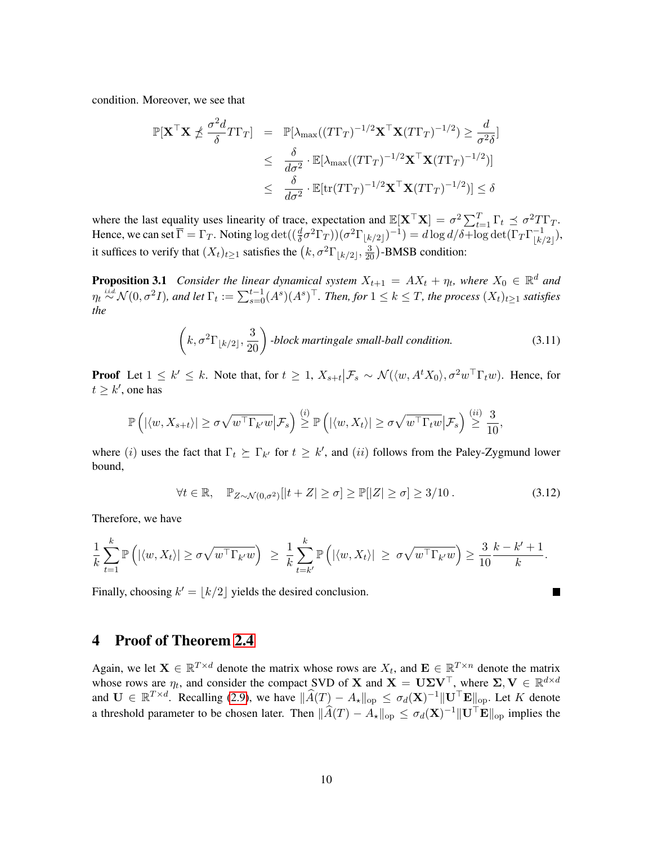condition. Moreover, we see that

$$
\mathbb{P}[\mathbf{X}^{\top}\mathbf{X} \nleq \frac{\sigma^2 d}{\delta} T\Gamma_T] = \mathbb{P}[\lambda_{\max}((T\Gamma_T)^{-1/2}\mathbf{X}^{\top}\mathbf{X}(T\Gamma_T)^{-1/2}) \geq \frac{d}{\sigma^2 \delta}]
$$
  
\n
$$
\leq \frac{\delta}{d\sigma^2} \cdot \mathbb{E}[\lambda_{\max}((T\Gamma_T)^{-1/2}\mathbf{X}^{\top}\mathbf{X}(T\Gamma_T)^{-1/2})]
$$
  
\n
$$
\leq \frac{\delta}{d\sigma^2} \cdot \mathbb{E}[\text{tr}(T\Gamma_T)^{-1/2}\mathbf{X}^{\top}\mathbf{X}(T\Gamma_T)^{-1/2})] \leq \delta
$$

where the last equality uses linearity of trace, expectation and  $\mathbb{E}[\mathbf{X}^T \mathbf{X}] = \sigma^2 \sum_{t=1}^T \Gamma_t \preceq \sigma^2 T \Gamma_T$ . Hence, we can set  $\overline{\Gamma} = \Gamma_T$ . Noting  $\log \det((\frac{d}{\delta}\sigma^2\Gamma_T))(\sigma^2\Gamma_{\lfloor k/2\rfloor})^{-1}) = d\log d/\delta + \log \det(\Gamma_T\Gamma_{\lfloor k/2\rfloor}^{-1})$  $\frac{-1}{|k/2|}),$ it suffices to verify that  $(X_t)_{t\geq 1}$  satisfies the  $(k, \sigma^2 \Gamma_{\lfloor k/2 \rfloor}, \frac{3}{20})$ -BMSB condition:

**Proposition 3.1** Consider the linear dynamical system  $X_{t+1} = AX_t + \eta_t$ , where  $X_0 \in \mathbb{R}^d$  and  $\eta_t \stackrel{i.i.d}{\sim} \mathcal{N}(0,\sigma^2 I)$ , and let  $\Gamma_t:=\sum_{s=0}^{t-1}(A^s)(A^s)^\top$ . Then, for  $1\leq k\leq T$ , the process  $(X_t)_{t\geq 1}$  satisfies *the*

$$
\left(k, \sigma^2 \Gamma_{\lfloor k/2 \rfloor}, \frac{3}{20}\right) \text{-block martingale small-ball condition.}
$$
 (3.11)

**Proof** Let  $1 \leq k' \leq k$ . Note that, for  $t \geq 1$ ,  $X_{s+t} | \mathcal{F}_s \sim \mathcal{N}(\langle w, A^t X_0 \rangle, \sigma^2 w^\top \Gamma_t w)$ . Hence, for  $t \geq k'$ , one has

$$
\mathbb{P}\left(|\langle w, X_{s+t}\rangle| \geq \sigma\sqrt{w^\top \Gamma_{k'} w} | \mathcal{F}_s\right) \stackrel{(i)}{\geq} \mathbb{P}\left(|\langle w, X_t\rangle| \geq \sigma\sqrt{w^\top \Gamma_t w} | \mathcal{F}_s\right) \stackrel{(ii)}{\geq} \frac{3}{10},
$$

where (i) uses the fact that  $\Gamma_t \succeq \Gamma_{k'}$  for  $t \geq k'$ , and (ii) follows from the Paley-Zygmund lower bound,

<span id="page-9-0"></span>
$$
\forall t \in \mathbb{R}, \quad \mathbb{P}_{Z \sim \mathcal{N}(0,\sigma^2)}[|t+Z| \ge \sigma] \ge \mathbb{P}[|Z| \ge \sigma] \ge 3/10. \tag{3.12}
$$

Therefore, we have

$$
\frac{1}{k}\sum_{t=1}^k \mathbb{P}\left(|\langle w, X_t\rangle| \ge \sigma \sqrt{w^\top \Gamma_{k'} w}\right) \ge \frac{1}{k}\sum_{t=k'}^k \mathbb{P}\left(|\langle w, X_t\rangle| \ge \sigma \sqrt{w^\top \Gamma_{k'} w}\right) \ge \frac{3}{10} \frac{k-k'+1}{k}.
$$

Finally, choosing  $k' = |k/2|$  yields the desired conclusion.

# <span id="page-9-1"></span>4 Proof of Theorem [2.4](#page-7-1)

Again, we let  $X \in \mathbb{R}^{T \times d}$  denote the matrix whose rows are  $X_t$ , and  $\mathbf{E} \in \mathbb{R}^{T \times n}$  denote the matrix whose rows are  $\eta_t$ , and consider the compact SVD of **X** and **X** =  $U\Sigma V^{\top}$ , where  $\Sigma, V \in \mathbb{R}^{d \times d}$ and  $\mathbf{U} \in \mathbb{R}^{T \times d}$ . Recalling [\(2.9\)](#page-8-2), we have  $\|\widehat{A}(T) - A_{\star}\|_{\text{op}} \le \sigma_d(\mathbf{X})^{-1} \|\mathbf{U}^{\top}\mathbf{E}\|_{\text{op}}$ . Let K denote a threshold parameter to be chosen later. Then  $\|\widehat{A}(T) - A_{\star}\|_{op} \le \sigma_d(\mathbf{X})^{-1} \|\mathbf{U}^{\top}\mathbf{E}\|_{op}$  implies the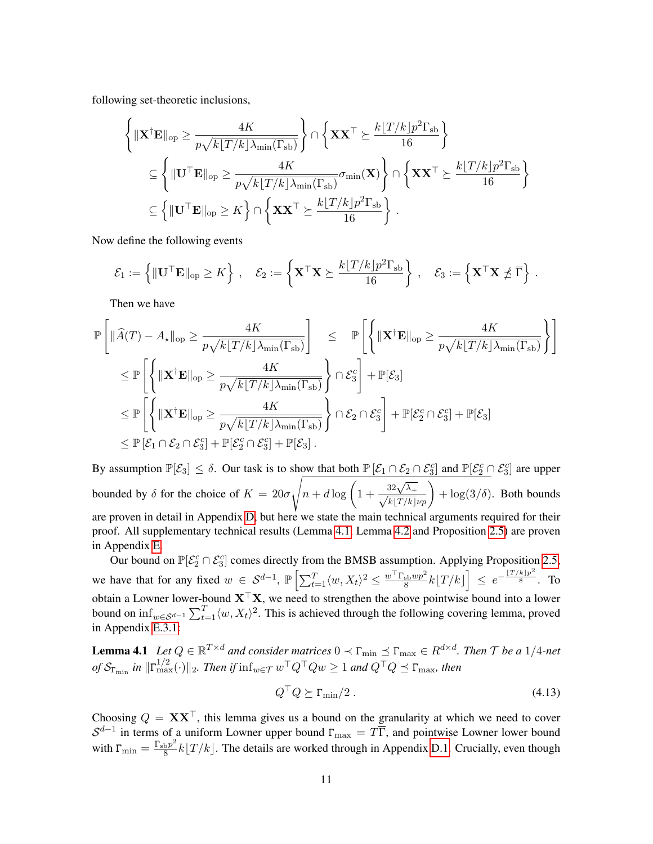following set-theoretic inclusions,

$$
\left\{\|\mathbf{X}^{\dagger}\mathbf{E}\|_{\text{op}}\geq\frac{4K}{p\sqrt{k\lfloor T/k\rfloor\lambda_{\min}(\Gamma_{\text{sb}})}}\right\}\cap\left\{\mathbf{X}\mathbf{X}^{\top}\succeq\frac{k\lfloor T/k\rfloor p^2\Gamma_{\text{sb}}}{16}\right\}
$$

$$
\subseteq\left\{\|\mathbf{U}^{\top}\mathbf{E}\|_{\text{op}}\geq\frac{4K}{p\sqrt{k\lfloor T/k\rfloor\lambda_{\min}(\Gamma_{\text{sb}})}}\sigma_{\min}(\mathbf{X})\right\}\cap\left\{\mathbf{X}\mathbf{X}^{\top}\succeq\frac{k\lfloor T/k\rfloor p^2\Gamma_{\text{sb}}}{16}\right\}
$$

$$
\subseteq\left\{\|\mathbf{U}^{\top}\mathbf{E}\|_{\text{op}}\geq K\right\}\cap\left\{\mathbf{X}\mathbf{X}^{\top}\succeq\frac{k\lfloor T/k\rfloor p^2\Gamma_{\text{sb}}}{16}\right\}.
$$

Now define the following events

$$
\mathcal{E}_1 := \left\{ \|\mathbf{U}^\top \mathbf{E}\|_{\mathrm{op}} \geq K \right\} , \quad \mathcal{E}_2 := \left\{ \mathbf{X}^\top \mathbf{X} \succeq \frac{k \lfloor T/k \rfloor p^2 \Gamma_{\mathrm{sb}}}{16} \right\} , \quad \mathcal{E}_3 := \left\{ \mathbf{X}^\top \mathbf{X} \npreceq \overline{\Gamma} \right\} .
$$

Then we have

$$
\mathbb{P}\left[\|\widehat{A}(T) - A_{\star}\|_{\text{op}} \geq \frac{4K}{p\sqrt{k\lfloor T/k\rfloor\lambda_{\min}(\Gamma_{\text{sb}})}}\right] \leq \mathbb{P}\left[\left\{\|\mathbf{X}^{\dagger}\mathbf{E}\|_{\text{op}} \geq \frac{4K}{p\sqrt{k\lfloor T/k\rfloor\lambda_{\min}(\Gamma_{\text{sb}})}}\right\}\right]
$$
\n
$$
\leq \mathbb{P}\left[\left\{\|\mathbf{X}^{\dagger}\mathbf{E}\|_{\text{op}} \geq \frac{4K}{p\sqrt{k\lfloor T/k\rfloor\lambda_{\min}(\Gamma_{\text{sb}})}}\right\} \cap \mathcal{E}_{3}^{c}\right] + \mathbb{P}[\mathcal{E}_{3}]
$$
\n
$$
\leq \mathbb{P}\left[\left\{\|\mathbf{X}^{\dagger}\mathbf{E}\|_{\text{op}} \geq \frac{4K}{p\sqrt{k\lfloor T/k\rfloor\lambda_{\min}(\Gamma_{\text{sb}})}}\right\} \cap \mathcal{E}_{2} \cap \mathcal{E}_{3}^{c}\right] + \mathbb{P}[\mathcal{E}_{2}^{c} \cap \mathcal{E}_{3}^{c}] + \mathbb{P}[\mathcal{E}_{3}]
$$
\n
$$
\leq \mathbb{P}\left[\mathcal{E}_{1} \cap \mathcal{E}_{2} \cap \mathcal{E}_{3}^{c}\right] + \mathbb{P}[\mathcal{E}_{2}^{c} \cap \mathcal{E}_{3}^{c}] + \mathbb{P}[\mathcal{E}_{3}].
$$

By assumption  $\mathbb{P}[\mathcal{E}_3] \leq \delta$ . Our task is to show that both  $\mathbb{P}[\mathcal{E}_1 \cap \mathcal{E}_2 \cap \mathcal{E}_3^c]$  and  $\mathbb{P}[\mathcal{E}_2^c \cap \mathcal{E}_3^c]$  are upper bounded by  $\delta$  for the choice of  $K = 20\sigma$  $\sqrt{n + d \log \left(1 + \frac{32\sqrt{\lambda_{+}}}{\sqrt{k|T/k|} \nu_{p}}\right) + \log(3/\delta)}$ . Both bounds are proven in detail in Appendix [D,](#page-21-0) but here we state the main technical arguments required for their proof. All supplementary technical results (Lemma [4.1,](#page-10-0) Lemma [4.2](#page-11-1) and Proposition [2.5\)](#page-8-1) are proven in Appendix [E.](#page-25-1)

Our bound on  $\mathbb{P}[\mathcal{E}_2^c \cap \mathcal{E}_3^c]$  comes directly from the BMSB assumption. Applying Proposition [2.5,](#page-8-1) we have that for any fixed  $w \in S^{d-1}$ ,  $\mathbb{P}\left[\sum_{t=1}^T \langle w, X_t \rangle^2 \le \frac{w^\top \Gamma_{\text{sb}} w p^2}{8} k \lfloor T/k \rfloor \right] \le e^{-\frac{|T/k| p^2}{8}}$ . To obtain a Lowner lower-bound  $X^{\top}X$ , we need to strengthen the above pointwise bound into a lower bound on  $\inf_{w \in S^{d-1}} \sum_{t=1}^T \langle w, X_t \rangle^2$ . This is achieved through the following covering lemma, proved in Appendix [E.3.1:](#page-27-0)

<span id="page-10-0"></span>**Lemma 4.1** Let  $Q \in \mathbb{R}^{T \times d}$  and consider matrices  $0 \prec \Gamma_{\min} \preceq \Gamma_{\max} \in R^{d \times d}$ . Then  $\mathcal T$  be a 1/4-net  $of$   $\mathcal{S}_{\Gamma_{\textup{min}}}$  in  $\|\Gamma^{1/2}_{\textup{max}}(\cdot)\|_2$ . Then if  $\inf_{w\in\mathcal{T}}w^\top Q^\top Qw\geq 1$  and  $Q^\top Q\preceq \Gamma_{\textup{max}},$  then

$$
Q^{\top} Q \succeq \Gamma_{\min}/2 \,. \tag{4.13}
$$

Choosing  $Q = \mathbf{XX}^\top$ , this lemma gives us a bound on the granularity at which we need to cover  $S^{d-1}$  in terms of a uniform Lowner upper bound  $\Gamma_{\text{max}} = T\overline{\Gamma}$ , and pointwise Lowner lower bound with  $\Gamma_{\min} = \frac{\Gamma_{\text{sb}} p^2}{8}$  $\frac{bP^2}{8} k[T/k]$ . The details are worked through in Appendix [D.1.](#page-22-0) Crucially, even though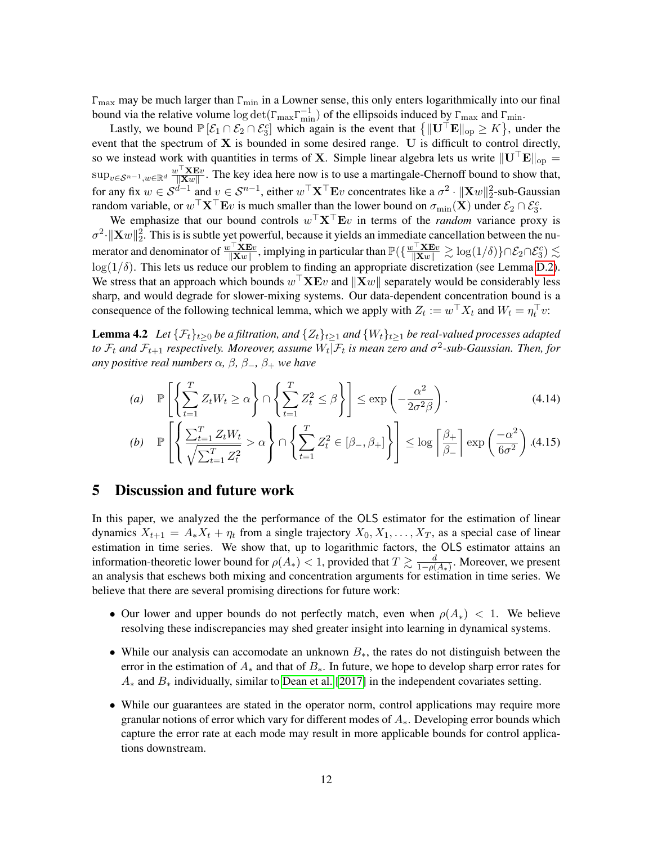$\Gamma_{\text{max}}$  may be much larger than  $\Gamma_{\text{min}}$  in a Lowner sense, this only enters logarithmically into our final bound via the relative volume  $\log \det(\Gamma_{\max} \Gamma_{\min}^{-1})$  of the ellipsoids induced by  $\Gamma_{\max}$  and  $\Gamma_{\min}$ .

Lastly, we bound  $\mathbb{P}[\mathcal{E}_1 \cap \mathcal{E}_2 \cap \mathcal{E}_3^c]$  which again is the event that  $\{||\mathbf{U}^\top \mathbf{E}||_{op} \geq K\}$ , under the event that the spectrum of  $X$  is bounded in some desired range. U is difficult to control directly, so we instead work with quantities in terms of **X**. Simple linear algebra lets us write  $\|\mathbf{U}^{\top}\mathbf{E}\|_{op}$  =  $\sup_{v\in{\mathcal S}^{n-1}, w\in{\mathbb R}^d} \frac{w^\top{\mathbf X}{\mathbf E} v}{\|{\mathbf X} w\|}$  $\frac{dX}{dX}$ . The key idea here now is to use a martingale-Chernoff bound to show that, for any fix  $w \in S^{d-1}$  and  $v \in S^{n-1}$ , either  $w^\top \mathbf{X}^\top \mathbf{E} v$  concentrates like a  $\sigma^2 \cdot \|\mathbf{X} w\|_2^2$ -sub-Gaussian random variable, or  $w^\top \mathbf{X}^\top \mathbf{E} v$  is much smaller than the lower bound on  $\sigma_{\min}(\mathbf{X})$  under  $\mathcal{E}_2 \cap \mathcal{E}_3^c$ .

We emphasize that our bound controls  $w^{\top} \mathbf{X}^{\top} \mathbf{E} v$  in terms of the *random* variance proxy is  $\sigma^2$ · $\|\mathbf{X}_w\|_2^2$ . This is is subtle yet powerful, because it yields an immediate cancellation between the numerator and denominator of  $\frac{w^\top \mathbf{X} \mathbf{E} v}{\|\mathbf{X} w\|}$ , implying in particular than  $\mathbb{P}(\{\frac{w^\top \mathbf{X} \mathbf{E} v}{\|\mathbf{X} w\|} \gtrsim \log(1/\delta)\} \cap \mathcal{E}_2 \cap \mathcal{E}_3^c) \lesssim$  $log(1/\delta)$ . This lets us reduce our problem to finding an appropriate discretization (see Lemma [D.2\)](#page-23-0). We stress that an approach which bounds  $w^{\top} \mathbf{X} \mathbf{E} v$  and  $\|\mathbf{X} w\|$  separately would be considerably less sharp, and would degrade for slower-mixing systems. Our data-dependent concentration bound is a consequence of the following technical lemma, which we apply with  $Z_t := w^\top X_t$  and  $W_t = \eta_t^\top v$ :

**Lemma 4.2** *Let*  $\{\mathcal{F}_t\}_{t\geq0}$  *be a filtration, and*  $\{Z_t\}_{t\geq1}$  *and*  $\{W_t\}_{t\geq1}$  *be real-valued processes adapted* to  $\mathcal{F}_t$  and  $\mathcal{F}_{t+1}$  respectively. Moreover, assume  $W_t|\mathcal{F}_t$  is mean zero and  $\sigma^2$ -sub-Gaussian. Then, for *any positive real numbers*  $\alpha$ *,*  $\beta$ *,*  $\beta$ *<sub>-</sub>,*  $\beta$ *<sub>+</sub> we have* 

<span id="page-11-1"></span><span id="page-11-0"></span>
$$
(a) \quad \mathbb{P}\left[\left\{\sum_{t=1}^{T} Z_t W_t \ge \alpha\right\} \cap \left\{\sum_{t=1}^{T} Z_t^2 \le \beta\right\}\right] \le \exp\left(-\frac{\alpha^2}{2\sigma^2 \beta}\right). \tag{4.14}
$$

(b) 
$$
\mathbb{P}\left[\left\{\frac{\sum_{t=1}^{T} Z_t W_t}{\sqrt{\sum_{t=1}^{T} Z_t^2}} > \alpha\right\} \cap \left\{\sum_{t=1}^{T} Z_t^2 \in [\beta_-, \beta_+]\right\}\right] \le \log \left[\frac{\beta_+}{\beta_-}\right] \exp\left(\frac{-\alpha^2}{6\sigma^2}\right)
$$
. (4.15)

## 5 Discussion and future work

In this paper, we analyzed the the performance of the OLS estimator for the estimation of linear dynamics  $X_{t+1} = A_* X_t + \eta_t$  from a single trajectory  $X_0, X_1, \ldots, X_T$ , as a special case of linear estimation in time series. We show that, up to logarithmic factors, the OLS estimator attains an information-theoretic lower bound for  $\rho(A_*) < 1$ , provided that  $T \gtrsim \frac{d}{1-\rho(A_*)}$  $\frac{d}{1-\rho(A_*)}$ . Moreover, we present an analysis that eschews both mixing and concentration arguments for estimation in time series. We believe that there are several promising directions for future work:

- Our lower and upper bounds do not perfectly match, even when  $\rho(A_*) < 1$ . We believe resolving these indiscrepancies may shed greater insight into learning in dynamical systems.
- While our analysis can accomodate an unknown  $B_{\ast}$ , the rates do not distinguish between the error in the estimation of  $A_*$  and that of  $B_*$ . In future, we hope to develop sharp error rates for  $A_*$  and  $B_*$  individually, similar to [Dean et al.](#page-12-3) [\[2017\]](#page-12-3) in the independent covariates setting.
- While our guarantees are stated in the operator norm, control applications may require more granular notions of error which vary for different modes of  $A_*$ . Developing error bounds which capture the error rate at each mode may result in more applicable bounds for control applications downstream.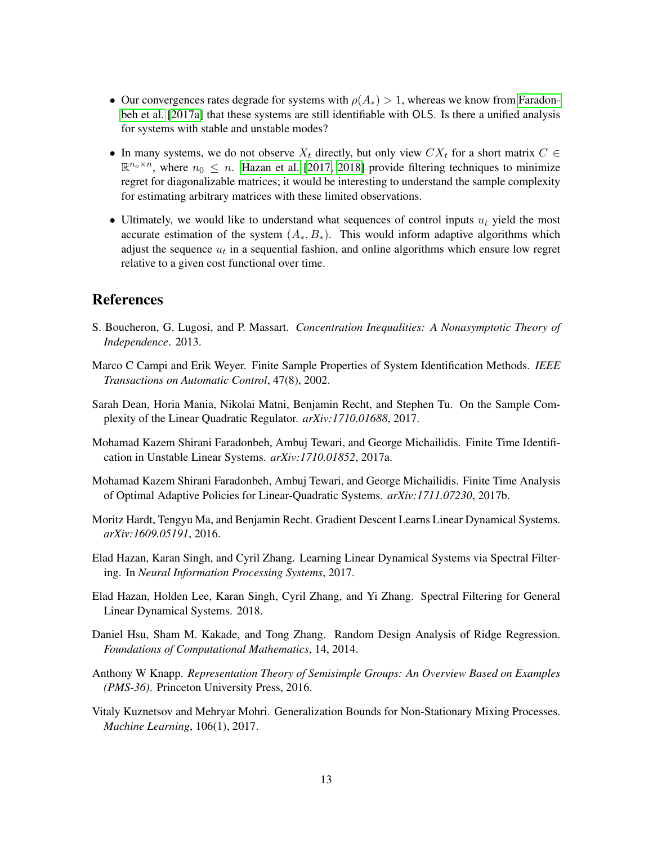- Our convergences rates degrade for systems with  $\rho(A_*)$  > 1, whereas we know from [Faradon](#page-12-1)[beh et al.](#page-12-1) [\[2017a\]](#page-12-1) that these systems are still identifiable with OLS. Is there a unified analysis for systems with stable and unstable modes?
- In many systems, we do not observe  $X_t$  directly, but only view  $CX_t$  for a short matrix  $C \in$  $\mathbb{R}^{n_o \times n}$ , where  $n_0 \leq n$ . [Hazan et al.](#page-12-6) [\[2017,](#page-12-6) [2018\]](#page-12-7) provide filtering techniques to minimize regret for diagonalizable matrices; it would be interesting to understand the sample complexity for estimating arbitrary matrices with these limited observations.
- Ultimately, we would like to understand what sequences of control inputs  $u_t$  yield the most accurate estimation of the system  $(A_*, B_*)$ . This would inform adaptive algorithms which adjust the sequence  $u_t$  in a sequential fashion, and online algorithms which ensure low regret relative to a given cost functional over time.

# References

- <span id="page-12-9"></span>S. Boucheron, G. Lugosi, and P. Massart. *Concentration Inequalities: A Nonasymptotic Theory of Independence*. 2013.
- <span id="page-12-4"></span>Marco C Campi and Erik Weyer. Finite Sample Properties of System Identification Methods. *IEEE Transactions on Automatic Control*, 47(8), 2002.
- <span id="page-12-3"></span>Sarah Dean, Horia Mania, Nikolai Matni, Benjamin Recht, and Stephen Tu. On the Sample Complexity of the Linear Quadratic Regulator. *arXiv:1710.01688*, 2017.
- <span id="page-12-1"></span>Mohamad Kazem Shirani Faradonbeh, Ambuj Tewari, and George Michailidis. Finite Time Identification in Unstable Linear Systems. *arXiv:1710.01852*, 2017a.
- <span id="page-12-2"></span>Mohamad Kazem Shirani Faradonbeh, Ambuj Tewari, and George Michailidis. Finite Time Analysis of Optimal Adaptive Policies for Linear-Quadratic Systems. *arXiv:1711.07230*, 2017b.
- <span id="page-12-5"></span>Moritz Hardt, Tengyu Ma, and Benjamin Recht. Gradient Descent Learns Linear Dynamical Systems. *arXiv:1609.05191*, 2016.
- <span id="page-12-6"></span>Elad Hazan, Karan Singh, and Cyril Zhang. Learning Linear Dynamical Systems via Spectral Filtering. In *Neural Information Processing Systems*, 2017.
- <span id="page-12-7"></span>Elad Hazan, Holden Lee, Karan Singh, Cyril Zhang, and Yi Zhang. Spectral Filtering for General Linear Dynamical Systems. 2018.
- <span id="page-12-0"></span>Daniel Hsu, Sham M. Kakade, and Tong Zhang. Random Design Analysis of Ridge Regression. *Foundations of Computational Mathematics*, 14, 2014.
- <span id="page-12-10"></span>Anthony W Knapp. *Representation Theory of Semisimple Groups: An Overview Based on Examples (PMS-36)*. Princeton University Press, 2016.
- <span id="page-12-8"></span>Vitaly Kuznetsov and Mehryar Mohri. Generalization Bounds for Non-Stationary Mixing Processes. *Machine Learning*, 106(1), 2017.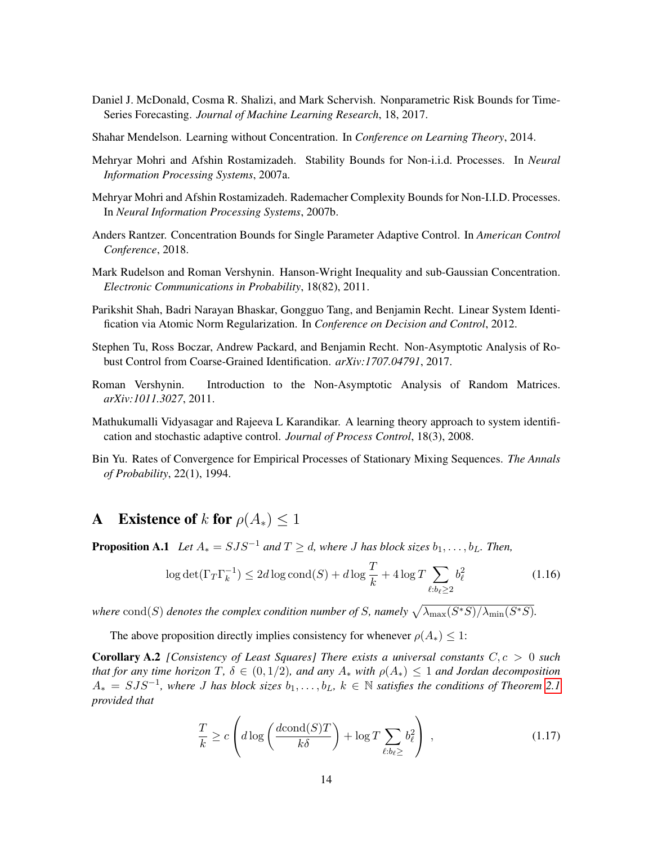- <span id="page-13-6"></span>Daniel J. McDonald, Cosma R. Shalizi, and Mark Schervish. Nonparametric Risk Bounds for Time-Series Forecasting. *Journal of Machine Learning Research*, 18, 2017.
- <span id="page-13-11"></span>Shahar Mendelson. Learning without Concentration. In *Conference on Learning Theory*, 2014.
- <span id="page-13-1"></span>Mehryar Mohri and Afshin Rostamizadeh. Stability Bounds for Non-i.i.d. Processes. In *Neural Information Processing Systems*, 2007a.
- <span id="page-13-5"></span>Mehryar Mohri and Afshin Rostamizadeh. Rademacher Complexity Bounds for Non-I.I.D. Processes. In *Neural Information Processing Systems*, 2007b.
- <span id="page-13-2"></span>Anders Rantzer. Concentration Bounds for Single Parameter Adaptive Control. In *American Control Conference*, 2018.
- <span id="page-13-10"></span>Mark Rudelson and Roman Vershynin. Hanson-Wright Inequality and sub-Gaussian Concentration. *Electronic Communications in Probability*, 18(82), 2011.
- <span id="page-13-4"></span>Parikshit Shah, Badri Narayan Bhaskar, Gongguo Tang, and Benjamin Recht. Linear System Identification via Atomic Norm Regularization. In *Conference on Decision and Control*, 2012.
- <span id="page-13-9"></span>Stephen Tu, Ross Boczar, Andrew Packard, and Benjamin Recht. Non-Asymptotic Analysis of Robust Control from Coarse-Grained Identification. *arXiv:1707.04791*, 2017.
- <span id="page-13-14"></span>Roman Vershynin. Introduction to the Non-Asymptotic Analysis of Random Matrices. *arXiv:1011.3027*, 2011.
- <span id="page-13-3"></span>Mathukumalli Vidyasagar and Rajeeva L Karandikar. A learning theory approach to system identification and stochastic adaptive control. *Journal of Process Control*, 18(3), 2008.
- <span id="page-13-0"></span>Bin Yu. Rates of Convergence for Empirical Processes of Stationary Mixing Sequences. *The Annals of Probability*, 22(1), 1994.

# <span id="page-13-7"></span>**A** Existence of k for  $\rho(A_*) < 1$

<span id="page-13-13"></span>**Proposition A.1** *Let*  $A_* = SJS^{-1}$  *and*  $T \ge d$ *, where J has block sizes*  $b_1, \ldots, b_L$ *. Then,* 

$$
\log \det(\Gamma_T \Gamma_k^{-1}) \le 2d \log \text{cond}(S) + d \log \frac{T}{k} + 4 \log T \sum_{\ell : b_\ell \ge 2} b_\ell^2 \tag{1.16}
$$

where  $cond(S)$  denotes the complex condition number of S, namely  $\sqrt{\lambda_{\max}(S^*S)/\lambda_{\min}(S^*S)}$ .

The above proposition directly implies consistency for whenever  $\rho(A_*) \leq 1$ :

Corollary A.2 *[Consistency of Least Squares] There exists a universal constants* C, c > 0 *such that for any time horizon*  $T$ *,*  $\delta \in (0, 1/2)$ *, and any*  $A_*$  *with*  $\rho(A_*) \leq 1$  *and Jordan decomposition*  $A_* = SJS^{-1}$ , where J has block sizes  $b_1, \ldots, b_L, k \in \mathbb{N}$  satisfies the conditions of Theorem [2.1](#page-3-2) *provided that*

<span id="page-13-12"></span><span id="page-13-8"></span>
$$
\frac{T}{k} \ge c \left( d \log \left( \frac{d \text{cond}(S)T}{k \delta} \right) + \log T \sum_{\ell : b_{\ell} \ge} b_{\ell}^2 \right) ,\tag{1.17}
$$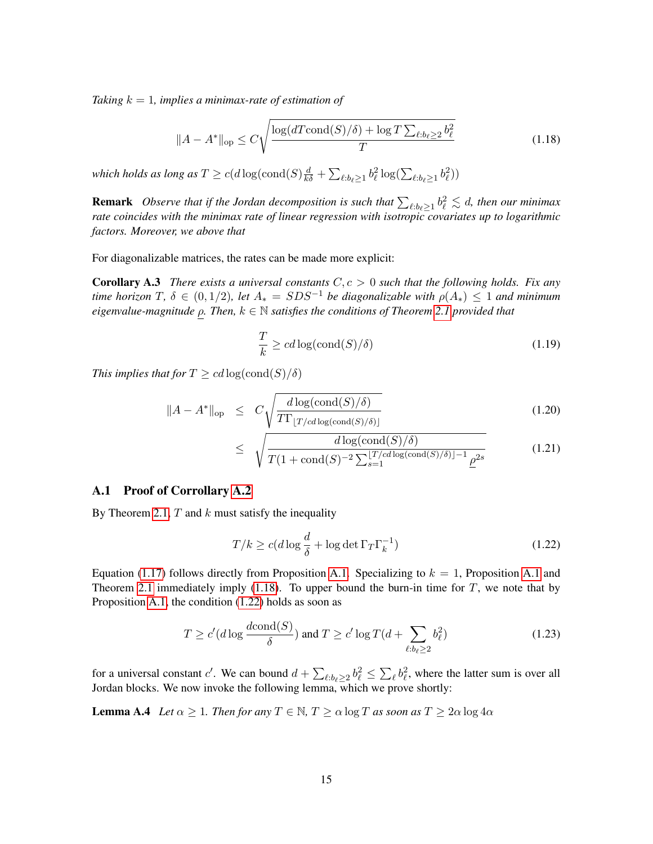*Taking*  $k = 1$ *, implies a minimax-rate of estimation of* 

<span id="page-14-0"></span>
$$
||A - A^*||_{op} \le C \sqrt{\frac{\log(dT \text{cond}(S)/\delta) + \log T \sum_{\ell:b_\ell \ge 2} b_\ell^2}{T}}
$$
(1.18)

which holds as long as  $T\geq c(d\log(\mathrm{cond}(S)\frac{d}{k\delta}+\sum_{\ell: b_\ell\geq 1}b_\ell^2\log(\sum_{\ell: b_\ell\geq 1}b_\ell^2))$ 

**Remark** Observe that if the Jordan decomposition is such that  $\sum_{\ell:b_{\ell}\geq 1} b_{\ell}^2 \lesssim d$ , then our minimax *rate coincides with the minimax rate of linear regression with isotropic covariates up to logarithmic factors. Moreover, we above that*

For diagonalizable matrices, the rates can be made more explicit:

Corollary A.3 *There exists a universal constants* C, c > 0 *such that the following holds. Fix any time horizon* T,  $\delta \in (0, 1/2)$ *, let*  $A_* = SDS^{-1}$  *be diagonalizable with*  $\rho(A_*) \leq 1$  *and minimum eigenvalue-magnitude* ρ*. Then,* k ∈ N *satisfies the conditions of Theorem [2.1](#page-3-2) provided that*

<span id="page-14-4"></span><span id="page-14-1"></span>
$$
\frac{T}{k} \geq cd \log(\text{cond}(S)/\delta) \tag{1.19}
$$

*This implies that for*  $T \geq cd \log(\text{cond}(S)/\delta)$ 

<span id="page-14-5"></span>
$$
||A - A^*||_{op} \leq C \sqrt{\frac{d \log(\text{cond}(S)/\delta)}{T \Gamma_{\lfloor T/cd \log(\text{cond}(S)/\delta) \rfloor}}} \tag{1.20}
$$

$$
\leq \sqrt{\frac{d \log(\text{cond}(S)/\delta)}{T(1+\text{cond}(S)^{-2} \sum_{s=1}^{\lfloor T/\text{cd}\log(\text{cond}(S)/\delta)\rfloor - 1} \underline{\rho}^{2s}}}
$$
(1.21)

#### A.1 Proof of Corrollary [A.2](#page-13-8)

By Theorem [2.1,](#page-3-2)  $T$  and  $k$  must satisfy the inequality

<span id="page-14-3"></span><span id="page-14-2"></span>
$$
T/k \ge c(d \log \frac{d}{\delta} + \log \det \Gamma_T \Gamma_k^{-1})
$$
\n(1.22)

Equation [\(1.17\)](#page-13-12) follows directly from Proposition [A.1.](#page-13-13) Specializing to  $k = 1$ , Proposition [A.1](#page-13-13) and Theorem [2.1](#page-3-2) immediately imply  $(1.18)$ . To upper bound the burn-in time for T, we note that by Proposition [A.1,](#page-13-13) the condition [\(1.22\)](#page-14-2) holds as soon as

$$
T \ge c'(d \log \frac{d \text{cond}(S)}{\delta}) \text{ and } T \ge c' \log T(d + \sum_{\ell:b_{\ell} \ge 2} b_{\ell}^2)
$$
 (1.23)

for a universal constant c'. We can bound  $d + \sum_{\ell:b_{\ell} \geq 2} b_{\ell}^2 \leq \sum_{\ell} b_{\ell}^2$ , where the latter sum is over all Jordan blocks. We now invoke the following lemma, which we prove shortly:

**Lemma A.4** *Let*  $\alpha \geq 1$ *. Then for any*  $T \in \mathbb{N}$ *,*  $T \geq \alpha \log T$  *as soon as*  $T \geq 2\alpha \log 4\alpha$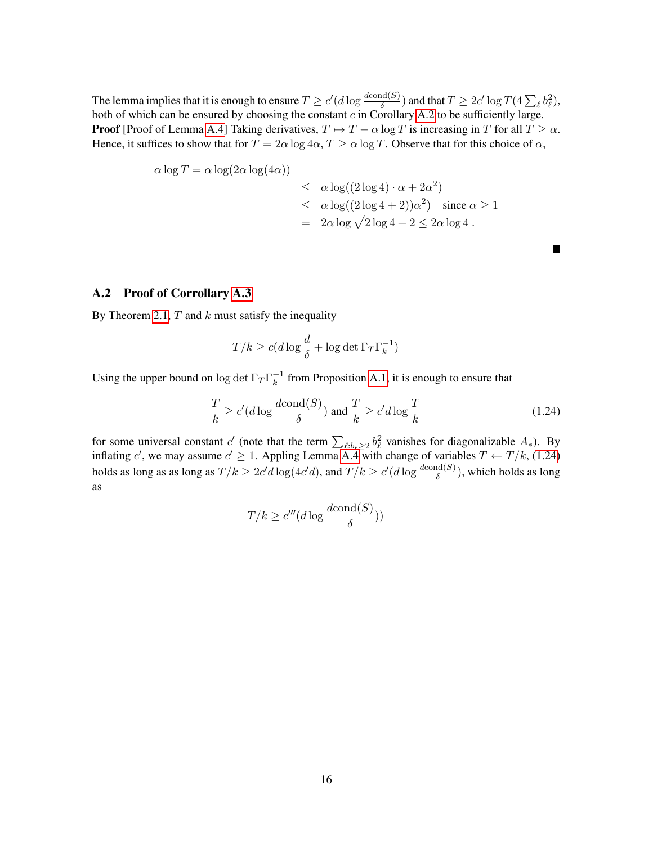The lemma implies that it is enough to ensure  $T\ge c'(d\log\frac{d\mathrm{cond}(S)}{\delta})$  and that  $T\ge 2c'\log T(4\sum_\ell b_\ell^2),$ both of which can be ensured by choosing the constant  $c$  in Corollary [A.2](#page-13-8) to be sufficiently large. **Proof** [Proof of Lemma [A.4\]](#page-14-3) Taking derivatives,  $T \mapsto T - \alpha \log T$  is increasing in T for all  $T \ge \alpha$ . Hence, it suffices to show that for  $T = 2\alpha \log 4\alpha$ ,  $T \ge \alpha \log T$ . Observe that for this choice of  $\alpha$ ,

$$
\alpha \log T = \alpha \log(2\alpha \log(4\alpha))
$$
  
\n
$$
\leq \alpha \log((2 \log 4) \cdot \alpha + 2\alpha^2)
$$
  
\n
$$
\leq \alpha \log((2 \log 4 + 2))\alpha^2) \text{ since } \alpha \geq 1
$$
  
\n
$$
= 2\alpha \log \sqrt{2 \log 4 + 2} \leq 2\alpha \log 4.
$$

## A.2 Proof of Corrollary [A.3](#page-14-1)

By Theorem [2.1,](#page-3-2)  $T$  and  $k$  must satisfy the inequality

$$
T/k \ge c(d \log \frac{d}{\delta} + \log \det \Gamma_T \Gamma_k^{-1})
$$

Using the upper bound on  $\log \det \Gamma_T \Gamma_k^{-1}$  $\frac{1}{k}$  from Proposition [A.1,](#page-13-13) it is enough to ensure that

<span id="page-15-0"></span>
$$
\frac{T}{k} \ge c'(d \log \frac{d \text{cond}(S)}{\delta}) \text{ and } \frac{T}{k} \ge c'd \log \frac{T}{k}
$$
\n(1.24)

L.

for some universal constant c' (note that the term  $\sum_{\ell:b_\ell\geq 2} b_\ell^2$  vanishes for diagonalizable  $A_*$ ). By inflating c', we may assume  $c' \geq 1$ . Appling Lemma [A.4](#page-14-3) with change of variables  $T \leftarrow T/k$ , [\(1.24\)](#page-15-0) holds as long as as long as  $T/k \ge 2c'd\log(4c'd)$ , and  $T/k \ge c'(d\log\frac{d\text{cond}(S)}{\delta})$ , which holds as long as

$$
T/k \ge c'''(d \log \frac{d \text{cond}(S)}{\delta}))
$$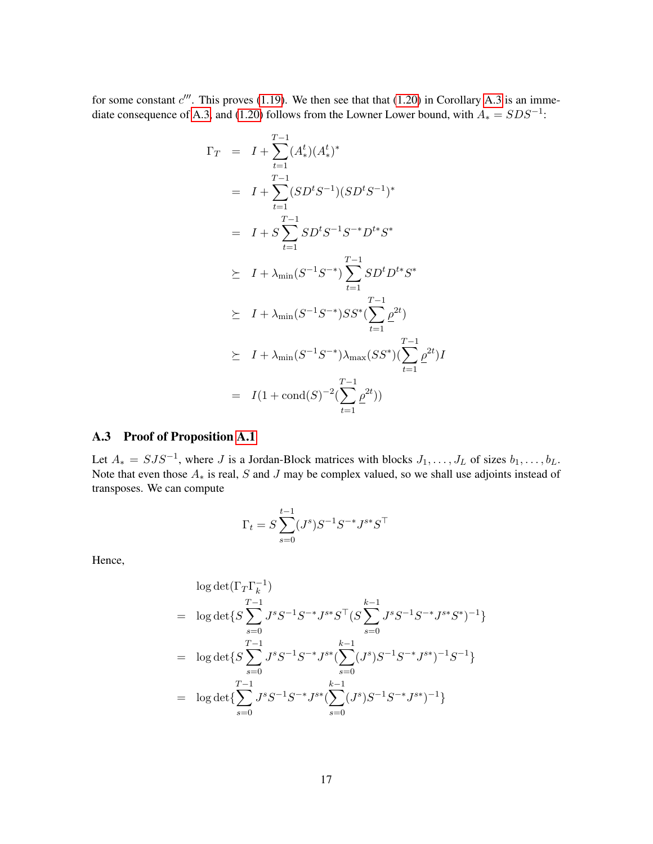for some constant  $c'''$ . This proves [\(1.19\)](#page-14-4). We then see that that [\(1.20\)](#page-14-5) in Corollary [A.3](#page-14-1) is an imme-diate consequence of [A.3,](#page-14-1) and [\(1.20\)](#page-14-5) follows from the Lowner Lower bound, with  $A_* = SDS^{-1}$ :

$$
\Gamma_T = I + \sum_{t=1}^{T-1} (A_*^t) (A_*^t)^*
$$
\n
$$
= I + \sum_{t=1}^{T-1} (SD^t S^{-1}) (SD^t S^{-1})^*
$$
\n
$$
= I + S \sum_{t=1}^{T-1} SD^t S^{-1} S^{-*} D^{t*} S^*
$$
\n
$$
\succeq I + \lambda_{\min} (S^{-1} S^{-*}) \sum_{t=1}^{T-1} SD^t D^{t*} S^*
$$
\n
$$
\succeq I + \lambda_{\min} (S^{-1} S^{-*}) S S^* (\sum_{t=1}^{T-1} \rho^{2t})
$$
\n
$$
\succeq I + \lambda_{\min} (S^{-1} S^{-*}) \lambda_{\max} (SS^*) (\sum_{t=1}^{T-1} \rho^{2t}) I
$$
\n
$$
= I(1 + \text{cond}(S)^{-2} (\sum_{t=1}^{T-1} \rho^{2t}))
$$

# A.3 Proof of Proposition [A.1](#page-13-13)

Let  $A_* = SJS^{-1}$ , where J is a Jordan-Block matrices with blocks  $J_1, \ldots, J_L$  of sizes  $b_1, \ldots, b_L$ . Note that even those  $A_*$  is real, S and J may be complex valued, so we shall use adjoints instead of transposes. We can compute

$$
\Gamma_t = S \sum_{s=0}^{t-1} (J^s) S^{-1} S^{-*} J^{s*} S^{\top}
$$

Hence,

$$
\log \det(\Gamma_T \Gamma_k^{-1})
$$
\n
$$
= \log \det \{ S \sum_{s=0}^{T-1} J^s S^{-1} S^{-*} J^{s*} S^{\top} (S \sum_{s=0}^{k-1} J^s S^{-1} S^{-*} J^{s*} S^{*})^{-1} \}
$$
\n
$$
= \log \det \{ S \sum_{s=0}^{T-1} J^s S^{-1} S^{-*} J^{s*} (\sum_{s=0}^{k-1} (J^s) S^{-1} S^{-*} J^{s*})^{-1} S^{-1} \}
$$
\n
$$
= \log \det \{ \sum_{s=0}^{T-1} J^s S^{-1} S^{-*} J^{s*} (\sum_{s=0}^{k-1} (J^s) S^{-1} S^{-*} J^{s*})^{-1} \}
$$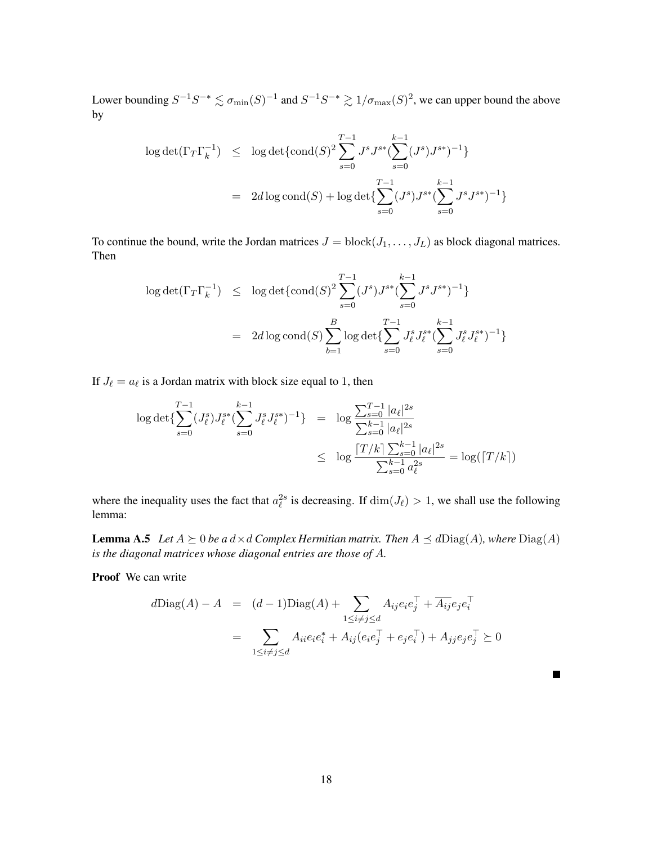Lower bounding  $S^{-1}S^{-*} \lesssim \sigma_{\min}(S)^{-1}$  and  $S^{-1}S^{-*} \gtrsim 1/\sigma_{\max}(S)^2$ , we can upper bound the above by

$$
\log \det(\Gamma_T \Gamma_k^{-1}) \leq \log \det \{ \text{cond}(S)^2 \sum_{s=0}^{T-1} J^s J^{s*} (\sum_{s=0}^{k-1} (J^s) J^{s*})^{-1} \}
$$
  
= 2d \log \text{cond}(S) + \log \det \{ \sum\_{s=0}^{T-1} (J^s) J^{s\*} (\sum\_{s=0}^{k-1} J^s J^{s\*})^{-1} \}

To continue the bound, write the Jordan matrices  $J = \text{block}(J_1, \ldots, J_L)$  as block diagonal matrices. Then

$$
\log \det(\Gamma_T \Gamma_k^{-1}) \leq \log \det \{ \text{cond}(S)^2 \sum_{s=0}^{T-1} (J^s) J^{s*} (\sum_{s=0}^{k-1} J^s J^{s*})^{-1} \}
$$
  
= 2d \log \text{cond}(S) \sum\_{b=1}^{B} \log \det \{ \sum\_{s=0}^{T-1} J^s\_{\ell} J^{s\*}\_{\ell} (\sum\_{s=0}^{k-1} J^s\_{\ell} J^{s\*})^{-1} \}

If  $J_\ell = a_\ell$  is a Jordan matrix with block size equal to 1, then

$$
\log \det \{ \sum_{s=0}^{T-1} (J_{\ell}^{s}) J_{\ell}^{s*} (\sum_{s=0}^{k-1} J_{\ell}^{s} J_{\ell}^{s*})^{-1} \} = \log \frac{\sum_{s=0}^{T-1} |a_{\ell}|^{2s}}{\sum_{s=0}^{k-1} |a_{\ell}|^{2s}} \le \log \frac{|T/k| \sum_{s=0}^{k-1} |a_{\ell}|^{2s}}{\sum_{s=0}^{k-1} a_{\ell}^{2s}} = \log(|T/k|)
$$

<span id="page-17-0"></span>where the inequality uses the fact that  $a_{\ell}^{2s}$  is decreasing. If  $\dim(J_{\ell}) > 1$ , we shall use the following lemma:

**Lemma A.5** Let  $A \succeq 0$  be a  $d \times d$  *Complex Hermitian matrix. Then*  $A \preceq d\text{Diag}(A)$ *, where*  $\text{Diag}(A)$ *is the diagonal matrices whose diagonal entries are those of* A*.*

Proof We can write

$$
d\text{Diag}(A) - A = (d-1)\text{Diag}(A) + \sum_{1 \le i \ne j \le d} A_{ij} e_i e_j^\top + \overline{A_{ij}} e_j e_i^\top
$$

$$
= \sum_{1 \le i \ne j \le d} A_{ii} e_i e_i^* + A_{ij} (e_i e_j^\top + e_j e_i^\top) + A_{jj} e_j e_j^\top \succeq 0
$$

 $\blacksquare$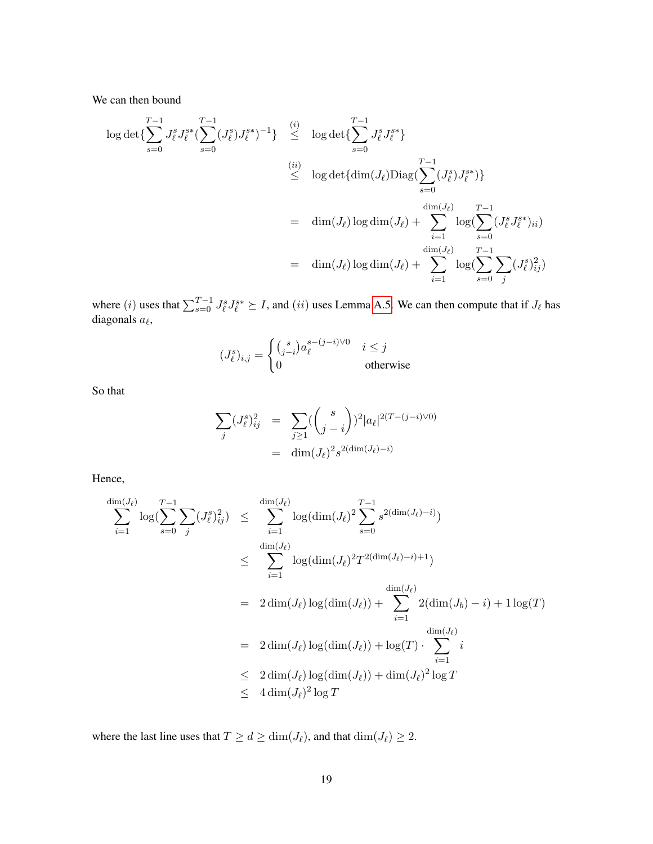We can then bound

$$
\log \det \{ \sum_{s=0}^{T-1} J_{\ell}^{s} J_{\ell}^{s*} (\sum_{s=0}^{T-1} (J_{\ell}^{s}) J_{\ell}^{s*})^{-1} \} \leq \log \det \{ \sum_{s=0}^{T-1} J_{\ell}^{s} J_{\ell}^{s*} \}
$$
  
\n
$$
\leq \log \det \{ \dim(J_{\ell}) \text{Diag} (\sum_{s=0}^{T-1} (J_{\ell}^{s}) J_{\ell}^{s*}) \}
$$
  
\n
$$
= \dim(J_{\ell}) \log \dim(J_{\ell}) + \sum_{i=1}^{\dim(J_{\ell})} \log (\sum_{s=0}^{T-1} (J_{\ell}^{s} J_{\ell}^{s*})_{ii})
$$
  
\n
$$
= \dim(J_{\ell}) \log \dim(J_{\ell}) + \sum_{i=1}^{\dim(J_{\ell})} \log (\sum_{s=0}^{T-1} (J_{\ell}^{s} J_{\ell}^{s*})_{ij})
$$

where (*i*) uses that  $\sum_{s=0}^{T-1} J_{\ell}^s J_{\ell}^{s*} \succeq I$ , and (*ii*) uses Lemma [A.5.](#page-17-0) We can then compute that if  $J_{\ell}$  has diagonals  $a_{\ell}$ ,

$$
(J_{\ell}^s)_{i,j} = \begin{cases} {s \choose j-i} a_{\ell}^{s-(j-i)\vee 0} & i \leq j \\ 0 & \text{otherwise} \end{cases}
$$

So that

$$
\sum_{j} (J_{\ell}^{s})_{ij}^{2} = \sum_{j \ge 1} (\binom{s}{j-i})^{2} |a_{\ell}|^{2(T-(j-i)\vee 0)}
$$
  
=  $\dim(J_{\ell})^{2} s^{2(\dim(J_{\ell})-i)}$ 

Hence,

$$
\sum_{i=1}^{\dim(J_{\ell})} \log(\sum_{s=0}^{T-1} \sum_{j} (J_{\ell}^{s})_{ij}^{2}) \leq \sum_{i=1}^{\dim(J_{\ell})} \log(\dim(J_{\ell})^{2} \sum_{s=0}^{T-1} s^{2(\dim(J_{\ell})-i)})
$$
\n
$$
\leq \sum_{i=1}^{\dim(J_{\ell})} \log(\dim(J_{\ell})^{2} T^{2(\dim(J_{\ell})-i)+1})
$$
\n
$$
= 2 \dim(J_{\ell}) \log(\dim(J_{\ell})) + \sum_{i=1}^{\dim(J_{\ell})} 2(\dim(J_{b})-i) + 1 \log(T)
$$
\n
$$
= 2 \dim(J_{\ell}) \log(\dim(J_{\ell})) + \log(T) \cdot \sum_{i=1}^{\dim(J_{\ell})} i
$$
\n
$$
\leq 2 \dim(J_{\ell}) \log(\dim(J_{\ell})) + \dim(J_{\ell})^{2} \log T
$$
\n
$$
\leq 4 \dim(J_{\ell})^{2} \log T
$$

where the last line uses that  $T \ge d \ge \dim(J_{\ell})$ , and that  $\dim(J_{\ell}) \ge 2$ .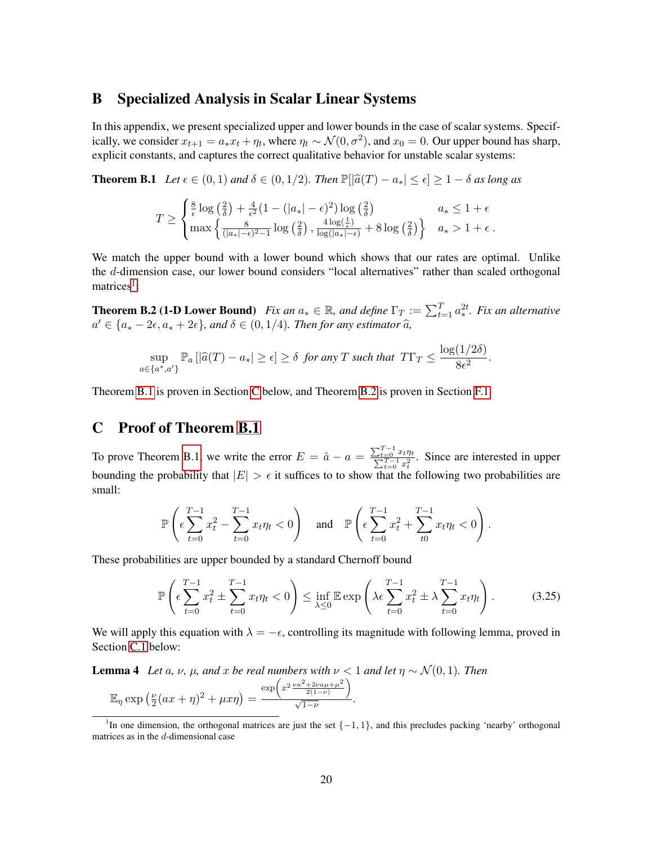## <span id="page-19-0"></span>B Specialized Analysis in Scalar Linear Systems

In this appendix, we present specialized upper and lower bounds in the case of scalar systems. Specifically, we consider  $x_{t+1} = a_* x_t + \eta_t$ , where  $\eta_t \sim \mathcal{N}(0, \sigma^2)$ , and  $x_0 = 0$ . Our upper bound has sharp, explicit constants, and captures the correct qualitative behavior for unstable scalar systems:

**Theorem B.1** Let  $\epsilon \in (0,1)$  and  $\delta \in (0,1/2)$ *. Then*  $\mathbb{P}[\hat{a}(T) - a_*] \leq \epsilon \geq 1 - \delta$  as long as

<span id="page-19-2"></span>
$$
T \ge \begin{cases} \frac{8}{\epsilon} \log\left(\frac{2}{\delta}\right) + \frac{4}{\epsilon^2} (1 - (|a_*| - \epsilon)^2) \log\left(\frac{2}{\delta}\right) & a_* \le 1 + \epsilon \\ \max\left\{\frac{8}{(|a_*| - \epsilon)^2 - 1} \log\left(\frac{2}{\delta}\right), \frac{4 \log\left(\frac{1}{\epsilon}\right)}{\log\left(|a_*| - \epsilon\right)} + 8 \log\left(\frac{2}{\delta}\right) \right\} & a_* > 1 + \epsilon \end{cases}.
$$

<span id="page-19-1"></span>We match the upper bound with a lower bound which shows that our rates are optimal. Unlike the d-dimension case, our lower bound considers "local alternatives" rather than scaled orthogonal matrices<sup>[1](#page-19-3)</sup>:

**Theorem B.2 (1-D Lower Bound)** Fix an  $a_* \in \mathbb{R}$ , and define  $\Gamma_T := \sum_{t=1}^T a_*^{2t}$ . Fix an alternative  $a' \in \{a_* - 2\epsilon, a_* + 2\epsilon\}$ , and  $\delta \in (0, 1/4)$ *. Then for any estimator*  $\widehat{a}$ *,* 

$$
\sup_{a\in\{a^*,a'\}} \mathbb{P}_a\left[|\widehat{a}(T)-a_*|\geq \epsilon\right] \geq \delta \text{ for any } T \text{ such that } TT_T \leq \frac{\log(1/2\delta)}{8\epsilon^2}.
$$

Theorem [B.1](#page-19-2) is proven in Section [C](#page-19-4) below, and Theorem [B.2](#page-19-1) is proven in Section [F.1.](#page-28-0)

# <span id="page-19-4"></span>C Proof of Theorem [B.1](#page-19-2)

To prove Theorem [B.1,](#page-19-2) we write the error  $E = \hat{a} - a = \frac{\sum_{t=0}^{T-1} x_t \eta_t}{\sum_{t=1}^{T-1} x_t^2}$  $\frac{\sum_{t=0}^{t-1} x_t}{\sum_{t=0}^{T-1} x_t^2}$ . Since are interested in upper bounding the probability that  $|E| > \epsilon$  it suffices to to show that the following two probabilities are small:

$$
\mathbb{P}\left(\epsilon\sum_{t=0}^{T-1}x_t^2-\sum_{t=0}^{T-1}x_t\eta_t<0\right)\quad\text{and}\quad\mathbb{P}\left(\epsilon\sum_{t=0}^{T-1}x_t^2+\sum_{t0}^{T-1}x_t\eta_t<0\right).
$$

These probabilities are upper bounded by a standard Chernoff bound

<span id="page-19-6"></span>
$$
\mathbb{P}\left(\epsilon \sum_{t=0}^{T-1} x_t^2 \pm \sum_{t=0}^{T-1} x_t \eta_t < 0\right) \leq \inf_{\lambda \leq 0} \mathbb{E} \exp\left(\lambda \epsilon \sum_{t=0}^{T-1} x_t^2 \pm \lambda \sum_{t=0}^{T-1} x_t \eta_t\right). \tag{3.25}
$$

<span id="page-19-5"></span>*.*

We will apply this equation with  $\lambda = -\epsilon$ , controlling its magnitude with following lemma, proved in Section [C.1](#page-20-0) below:

**Lemma 4** *Let* a*,*  $\nu$ *,*  $\mu$ *, and* x *be real numbers with*  $\nu < 1$  *and let*  $\eta \sim \mathcal{N}(0, 1)$ *. Then* 

$$
\mathbb{E}_{\eta} \exp\left(\frac{\nu}{2}(ax+\eta)^2 + \mu x \eta\right) = \frac{\exp\left(x^2 \frac{\nu a^2 + 2\nu a \mu + \mu^2}{2(1-\nu)}\right)}{\sqrt{1-\nu}}
$$

<span id="page-19-3"></span><sup>&</sup>lt;sup>1</sup>In one dimension, the orthogonal matrices are just the set  $\{-1, 1\}$ , and this precludes packing 'nearby' orthogonal matrices as in the d-dimensional case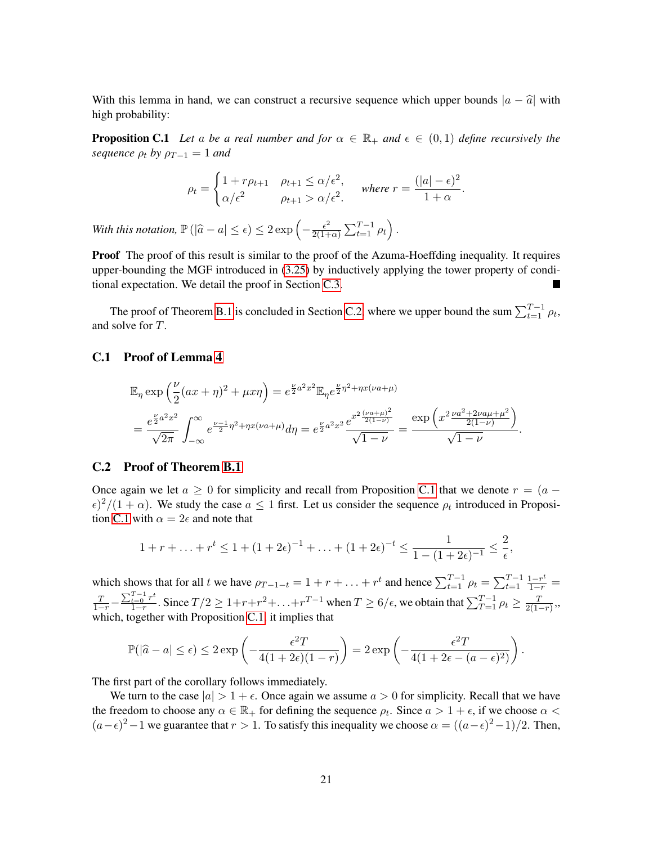With this lemma in hand, we can construct a recursive sequence which upper bounds  $|a - \hat{a}|$  with high probability:

**Proposition C.1** Let a be a real number and for  $\alpha \in \mathbb{R}_+$  and  $\epsilon \in (0,1)$  define recursively the *sequence*  $\rho_t$  *by*  $\rho_{T-1} = 1$  *and* 

<span id="page-20-2"></span>
$$
\rho_t = \begin{cases} 1 + r\rho_{t+1} & \rho_{t+1} \le \alpha/\epsilon^2, \\ \alpha/\epsilon^2 & \rho_{t+1} > \alpha/\epsilon^2. \end{cases} \quad \text{where } r = \frac{(|a| - \epsilon)^2}{1 + \alpha}.
$$

*With this notation,*  $\mathbb{P}\left(|\hat{a}-a| \leq \epsilon\right) \leq 2 \exp\left(-\frac{\epsilon^2}{2(1+\epsilon)}\right)$  $\frac{\epsilon^2}{2(1+\alpha)}\sum_{t=1}^{T-1}\rho_t\bigg).$ 

Proof The proof of this result is similar to the proof of the Azuma-Hoeffding inequality. It requires upper-bounding the MGF introduced in [\(3.25\)](#page-19-5) by inductively applying the tower property of conditional expectation. We detail the proof in Section [C.3.](#page-21-1)

The proof of Theorem [B.1](#page-19-2) is concluded in Section [C.2,](#page-20-1) where we upper bound the sum  $\sum_{t=1}^{T-1} \rho_t$ , and solve for T.

#### <span id="page-20-0"></span>C.1 Proof of Lemma [4](#page-19-6)

$$
\mathbb{E}_{\eta} \exp\left(\frac{\nu}{2}(ax+\eta)^2 + \mu x \eta\right) = e^{\frac{\nu}{2}a^2x^2} \mathbb{E}_{\eta} e^{\frac{\nu}{2}\eta^2 + \eta x(\nu a + \mu)}
$$
\n
$$
= \frac{e^{\frac{\nu}{2}a^2x^2}}{\sqrt{2\pi}} \int_{-\infty}^{\infty} e^{\frac{\nu-1}{2}\eta^2 + \eta x(\nu a + \mu)} d\eta = e^{\frac{\nu}{2}a^2x^2} \frac{e^{x^2\frac{(\nu a + \mu)^2}{2(1-\nu)}}}{\sqrt{1-\nu}} = \frac{\exp\left(x^2\frac{\nu a^2 + 2\nu a\mu + \mu^2}{2(1-\nu)}\right)}{\sqrt{1-\nu}}.
$$

#### <span id="page-20-1"></span>C.2 Proof of Theorem [B.1](#page-19-2)

Once again we let  $a \ge 0$  for simplicity and recall from Proposition [C.1](#page-20-2) that we denote  $r = (a \epsilon$ )<sup>2</sup>/(1 +  $\alpha$ ). We study the case  $a \le 1$  first. Let us consider the sequence  $\rho_t$  introduced in Proposi-tion [C.1](#page-20-2) with  $\alpha = 2\epsilon$  and note that

$$
1 + r + \ldots + r^t \le 1 + (1 + 2\epsilon)^{-1} + \ldots + (1 + 2\epsilon)^{-t} \le \frac{1}{1 - (1 + 2\epsilon)^{-1}} \le \frac{2}{\epsilon},
$$

which shows that for all t we have  $\rho_{T-1-t} = 1 + r + \ldots + r^t$  and hence  $\sum_{t=1}^{T-1} \rho_t = \sum_{t=1}^{T-1} \frac{1-r^t}{1-r} =$  $\frac{T}{1-r} - \frac{\sum_{t=0}^{T-1} r^t}{1-r}$  $\frac{1-r}{1-r}$ . Since  $T/2 \geq 1+r+r^2+\ldots+r^{T-1}$  when  $T \geq 6/\epsilon$ , we obtain that  $\sum_{T=1}^{T-1} \rho_t \geq \frac{T}{2(1-\epsilon)}$  $\frac{T}{2(1-r)},$ which, together with Proposition [C.1,](#page-20-2) it implies that

$$
\mathbb{P}(|\widehat{a}-a| \leq \epsilon) \leq 2 \exp\left(-\frac{\epsilon^2 T}{4(1+2\epsilon)(1-r)}\right) = 2 \exp\left(-\frac{\epsilon^2 T}{4(1+2\epsilon - (a-\epsilon)^2)}\right).
$$

The first part of the corollary follows immediately.

We turn to the case  $|a| > 1 + \epsilon$ . Once again we assume  $a > 0$  for simplicity. Recall that we have the freedom to choose any  $\alpha \in \mathbb{R}_+$  for defining the sequence  $\rho_t$ . Since  $a > 1 + \epsilon$ , if we choose  $\alpha <$  $(a-\epsilon)^2-1$  we guarantee that  $r>1$ . To satisfy this inequality we choose  $\alpha = ((a-\epsilon)^2-1)/2$ . Then,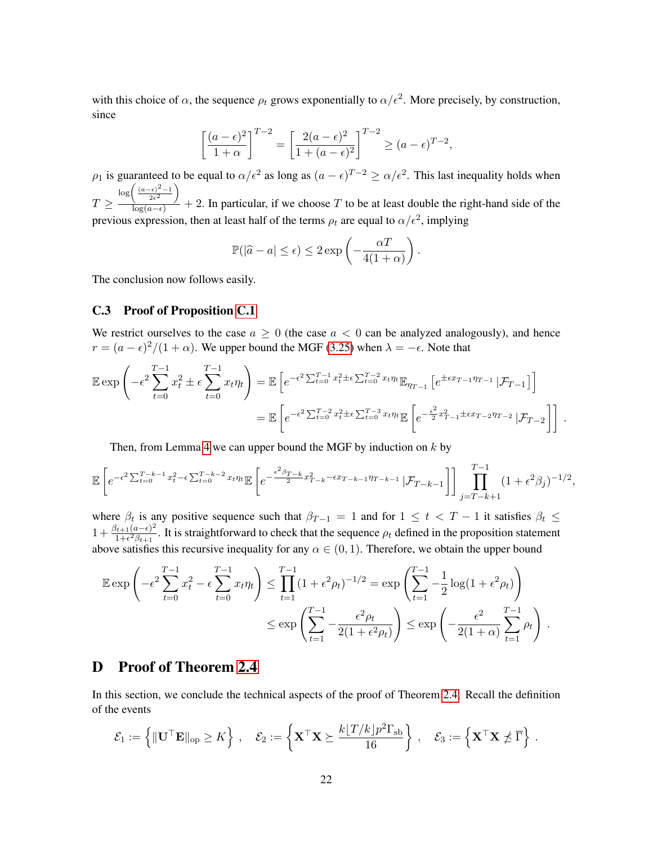with this choice of  $\alpha$ , the sequence  $\rho_t$  grows exponentially to  $\alpha/\epsilon^2$ . More precisely, by construction, since

$$
\left[\frac{(a-\epsilon)^2}{1+\alpha}\right]^{T-2} = \left[\frac{2(a-\epsilon)^2}{1+(a-\epsilon)^2}\right]^{T-2} \ge (a-\epsilon)^{T-2},
$$

 $\rho_1$  is guaranteed to be equal to  $\alpha/\epsilon^2$  as long as  $(a-\epsilon)^{T-2} \ge \alpha/\epsilon^2$ . This last inequality holds when  $T \geq$  $\log\left(\frac{(a-\epsilon)^2-1}{2}\right)$  $2\epsilon^2$  $\setminus$  $\frac{\log(a-\epsilon)}{\log(a-\epsilon)}$  + 2. In particular, if we choose T to be at least double the right-hand side of the previous expression, then at least half of the terms  $\rho_t$  are equal to  $\alpha/\epsilon^2$ , implying

$$
\mathbb{P}(|\widehat{a} - a| \le \epsilon) \le 2 \exp\left(-\frac{\alpha T}{4(1+\alpha)}\right).
$$

The conclusion now follows easily.

#### <span id="page-21-1"></span>C.3 Proof of Proposition [C.1](#page-20-2)

We restrict ourselves to the case  $a \ge 0$  (the case  $a < 0$  can be analyzed analogously), and hence  $r = (a - \epsilon)^2/(1 + \alpha)$ . We upper bound the MGF [\(3.25\)](#page-19-5) when  $\lambda = -\epsilon$ . Note that

$$
\mathbb{E} \exp \left( -\epsilon^2 \sum_{t=0}^{T-1} x_t^2 \pm \epsilon \sum_{t=0}^{T-1} x_t \eta_t \right) = \mathbb{E} \left[ e^{-\epsilon^2 \sum_{t=0}^{T-1} x_t^2 \pm \epsilon \sum_{t=0}^{T-2} x_t \eta_t} \mathbb{E}_{\eta_{T-1}} \left[ e^{\pm \epsilon x_{T-1} \eta_{T-1}} \, | \mathcal{F}_{T-1} \right] \right]
$$

$$
= \mathbb{E} \left[ e^{-\epsilon^2 \sum_{t=0}^{T-2} x_t^2 \pm \epsilon \sum_{t=0}^{T-3} x_t \eta_t} \mathbb{E} \left[ e^{-\frac{\epsilon^2}{2} x_{T-1}^2 \pm \epsilon x_{T-2} \eta_{T-2}} \, | \mathcal{F}_{T-2} \right] \right].
$$

Then, from Lemma [4](#page-19-6) we can upper bound the MGF by induction on  $k$  by

$$
\mathbb{E}\left[e^{-\epsilon^2\sum_{t=0}^{T-k-1}x_t^2-\epsilon\sum_{t=0}^{T-k-2}x_t\eta_t}\mathbb{E}\left[e^{-\frac{\epsilon^2\beta_{T-k}}{2}x_{T-k}^2-\epsilon x_{T-k-1}\eta_{T-k-1}}|\mathcal{F}_{T-k-1}\right]\right]\prod_{j=T-k+1}^{T-1}(1+\epsilon^2\beta_j)^{-1/2},
$$

where  $\beta_t$  is any positive sequence such that  $\beta_{T-1} = 1$  and for  $1 \le t < T-1$  it satisfies  $\beta_t \le$  $1+\frac{\beta_{t+1}(a-\epsilon)^2}{1+\epsilon^2\beta_{t+1}}$  $\frac{1}{1+\epsilon^2\beta_{t+1}}$ . It is straightforward to check that the sequence  $\rho_t$  defined in the proposition statement above satisfies this recursive inequality for any  $\alpha \in (0, 1)$ . Therefore, we obtain the upper bound

$$
\mathbb{E} \exp \left( -\epsilon^2 \sum_{t=0}^{T-1} x_t^2 - \epsilon \sum_{t=0}^{T-1} x_t \eta_t \right) \le \prod_{t=1}^{T-1} (1 + \epsilon^2 \rho_t)^{-1/2} = \exp \left( \sum_{t=1}^{T-1} -\frac{1}{2} \log(1 + \epsilon^2 \rho_t) \right)
$$
  

$$
\le \exp \left( \sum_{t=1}^{T-1} -\frac{\epsilon^2 \rho_t}{2(1 + \epsilon^2 \rho_t)} \right) \le \exp \left( -\frac{\epsilon^2}{2(1 + \alpha)} \sum_{t=1}^{T-1} \rho_t \right).
$$

# <span id="page-21-0"></span>D Proof of Theorem [2.4](#page-7-1)

In this section, we conclude the technical aspects of the proof of Theorem [2.4.](#page-7-1) Recall the definition of the events

$$
\mathcal{E}_1 := \left\{ \|\mathbf{U}^\top \mathbf{E}\|_{\mathrm{op}} \geq K \right\} , \quad \mathcal{E}_2 := \left\{ \mathbf{X}^\top \mathbf{X} \succeq \frac{k \lfloor T/k \rfloor p^2 \Gamma_{\mathrm{sb}}}{16} \right\} , \quad \mathcal{E}_3 := \left\{ \mathbf{X}^\top \mathbf{X} \npreceq \overline{\Gamma} \right\} .
$$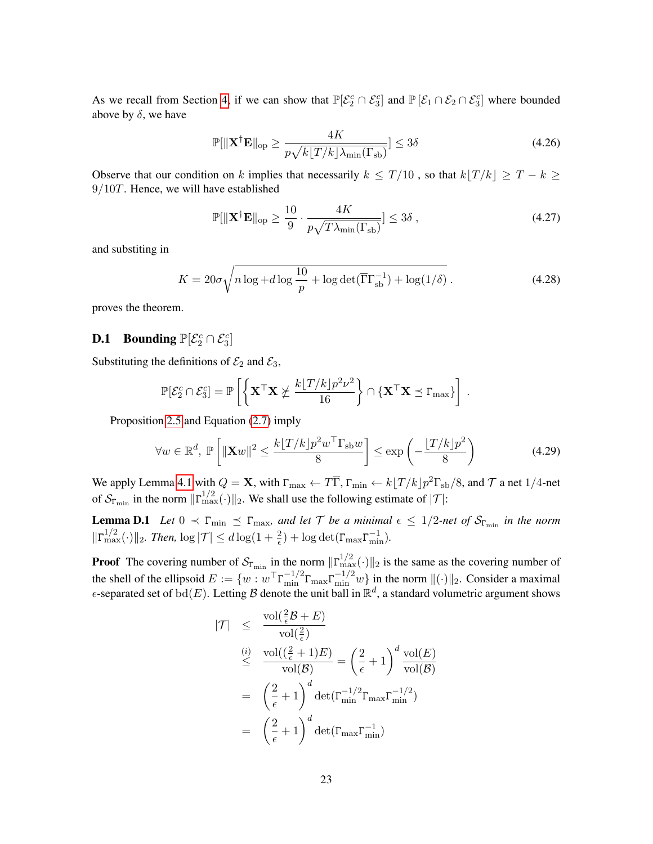As we recall from Section [4,](#page-9-1) if we can show that  $\mathbb{P}[\mathcal{E}_2^c \cap \mathcal{E}_3^c]$  and  $\mathbb{P}[\mathcal{E}_1 \cap \mathcal{E}_2 \cap \mathcal{E}_3^c]$  where bounded above by  $\delta$ , we have

$$
\mathbb{P}[\|\mathbf{X}^{\dagger}\mathbf{E}\|_{\text{op}} \ge \frac{4K}{p\sqrt{k\lfloor T/k\rfloor\lambda_{\min}(\Gamma_{\text{sb}})}}] \le 3\delta
$$
\n(4.26)

Observe that our condition on k implies that necessarily  $k \leq T/10$ , so that  $k|T/k| \geq T - k \geq$  $9/10T$ . Hence, we will have established

$$
\mathbb{P}[\|\mathbf{X}^{\dagger}\mathbf{E}\|_{\text{op}} \ge \frac{10}{9} \cdot \frac{4K}{p\sqrt{T\lambda_{\text{min}}(\Gamma_{\text{sb}})}}] \le 3\delta ,\qquad(4.27)
$$

and substiting in

$$
K = 20\sigma \sqrt{n \log d \log \frac{10}{p} + \log \det(\overline{\Gamma}\Gamma_{\text{sb}}^{-1}) + \log(1/\delta)}.
$$
 (4.28)

proves the theorem.

# <span id="page-22-0"></span>**D.1** Bounding  $\mathbb{P}[\mathcal{E}_2^c \cap \mathcal{E}_3^c]$

Substituting the definitions of  $\mathcal{E}_2$  and  $\mathcal{E}_3$ ,

$$
\mathbb{P}[\mathcal{E}_2^c \cap \mathcal{E}_3^c] = \mathbb{P}\left[\left\{ \mathbf{X}^\top \mathbf{X} \nleq \frac{k\lfloor T/k \rfloor p^2 \nu^2}{16} \right\} \cap \left\{ \mathbf{X}^\top \mathbf{X} \preceq \Gamma_{\text{max}} \right\} \right].
$$

Proposition [2.5](#page-8-1) and Equation [\(2.7\)](#page-7-2) imply

$$
\forall w \in \mathbb{R}^d, \ \mathbb{P}\left[\|\mathbf{X}w\|^2 \le \frac{k\lfloor T/k\rfloor p^2 w^\top \Gamma_{\text{sb}} w}{8}\right] \le \exp\left(-\frac{\lfloor T/k\rfloor p^2}{8}\right) \tag{4.29}
$$

We apply Lemma [4.1](#page-10-0) with  $Q = \mathbf{X}$ , with  $\Gamma_{\text{max}} \leftarrow T\overline{\Gamma}$ ,  $\Gamma_{\text{min}} \leftarrow k\lfloor T/k \rfloor p^2 \Gamma_{\text{sb}} / 8$ , and  $\mathcal{T}$  a net 1/4-net of  $S_{\Gamma_{\min}}$  in the norm  $\|\Gamma_{\max}^{1/2}(\cdot)\|_2$ . We shall use the following estimate of  $|\mathcal{T}|$ :

**Lemma D.1** Let  $0 \prec \Gamma_{\min} \preceq \Gamma_{\max}$ , and let  $\mathcal{T}$  be a minimal  $\epsilon \leq 1/2$ -net of  $\mathcal{S}_{\Gamma_{\min}}$  in the norm  $\|\Gamma_{\max}^{1/2}(\cdot)\|_2$ *. Then,*  $\log |\mathcal{T}| \leq d \log(1 + \frac{2}{\epsilon}) + \log \det(\Gamma_{\max} \Gamma_{\min}^{-1})$ *.* 

**Proof** The covering number of  $S_{\Gamma_{\min}}$  in the norm  $\|\Gamma_{\max}^{1/2}(\cdot)\|_2$  is the same as the covering number of the shell of the ellipsoid  $E := \{w : w^\top \Gamma_{\min}^{-1/2} \Gamma_{\max} \Gamma_{\min}^{-1/2} w\}$  in the norm  $\|(\cdot)\|_2$ . Consider a maximal  $\epsilon$ -separated set of  $\text{bd}(E)$ . Letting B denote the unit ball in  $\mathbb{R}^d$ , a standard volumetric argument shows

$$
|\mathcal{T}| \leq \frac{\text{vol}\left(\frac{2}{\epsilon}\mathcal{B} + E\right)}{\text{vol}\left(\frac{2}{\epsilon}\right)}
$$
  

$$
\leq \frac{\text{vol}\left(\left(\frac{2}{\epsilon} + 1\right)E\right)}{\text{vol}(\mathcal{B})} = \left(\frac{2}{\epsilon} + 1\right)^d \frac{\text{vol}(E)}{\text{vol}(\mathcal{B})}
$$
  

$$
= \left(\frac{2}{\epsilon} + 1\right)^d \text{det}(\Gamma_{\text{min}}^{-1/2} \Gamma_{\text{max}} \Gamma_{\text{min}}^{-1/2})
$$
  

$$
= \left(\frac{2}{\epsilon} + 1\right)^d \text{det}(\Gamma_{\text{max}} \Gamma_{\text{min}}^{-1})
$$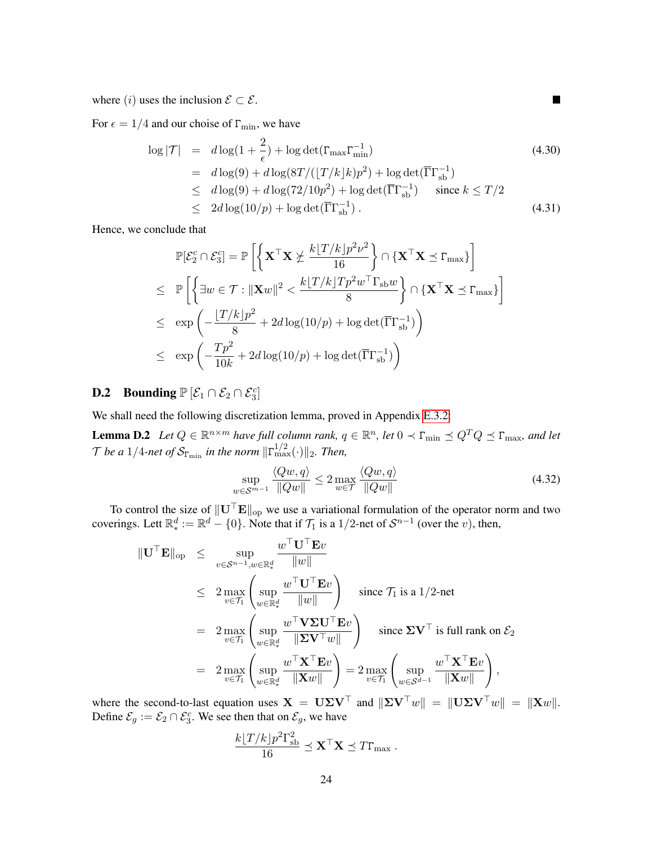where (i) uses the inclusion  $\mathcal{E} \subset \mathcal{E}$ .

For  $\epsilon = 1/4$  and our choise of  $\Gamma_{\text{min}}$ , we have

<span id="page-23-1"></span>
$$
\log |\mathcal{T}| = d \log(1 + \frac{2}{\epsilon}) + \log \det(\Gamma_{\text{max}} \Gamma_{\text{min}}^{-1})
$$
(4.30)  
=  $d \log(9) + d \log(8T/(\lfloor T/k \rfloor k)p^2) + \log \det(\overline{\Gamma} \Gamma_{\text{sb}}^{-1})$   
 $\leq d \log(9) + d \log(72/10p^2) + \log \det(\overline{\Gamma} \Gamma_{\text{sb}}^{-1})$  since  $k \leq T/2$   
 $\leq 2d \log(10/p) + \log \det(\overline{\Gamma} \Gamma_{\text{sb}}^{-1})$ . (4.31)

П

Hence, we conclude that

$$
\mathbb{P}[\mathcal{E}_2^c \cap \mathcal{E}_3^c] = \mathbb{P}\left[\left\{ \mathbf{X}^\top \mathbf{X} \neq \frac{k\lfloor T/k \rfloor p^2 \nu^2}{16} \right\} \cap \left\{ \mathbf{X}^\top \mathbf{X} \preceq \Gamma_{\text{max}} \right\}\right]
$$
\n
$$
\leq \mathbb{P}\left[\left\{ \exists w \in \mathcal{T} : \|\mathbf{X}w\|^2 < \frac{k\lfloor T/k \rfloor T p^2 w^\top \Gamma_{\text{sb}} w}{8} \right\} \cap \left\{ \mathbf{X}^\top \mathbf{X} \preceq \Gamma_{\text{max}} \right\}\right]
$$
\n
$$
\leq \exp\left(-\frac{\lfloor T/k \rfloor p^2}{8} + 2d \log(10/p) + \log \det(\overline{\Gamma}\Gamma_{\text{sb}}^{-1})\right)
$$
\n
$$
\leq \exp\left(-\frac{Tp^2}{10k} + 2d \log(10/p) + \log \det(\overline{\Gamma}\Gamma_{\text{sb}}^{-1})\right)
$$

# **D.2** Bounding  $\mathbb{P}\left[\mathcal{E}_1 \cap \mathcal{E}_2 \cap \mathcal{E}_3^c\right]$

We shall need the following discretization lemma, proved in Appendix [E.3.2:](#page-27-1)

**Lemma D.2** Let  $Q \in \mathbb{R}^{n \times m}$  have full column rank,  $q \in \mathbb{R}^n$ , let  $0 \prec \Gamma_{\min} \preceq Q^T Q \preceq \Gamma_{\max}$ , and let T be a  $1/4$ -net of  $\mathcal{S}_{\Gamma_{\min}}$  in the norm  $\|\Gamma_{\max}^{1/2}(\cdot)\|_2$ . Then,

<span id="page-23-0"></span>
$$
\sup_{w \in \mathcal{S}^{m-1}} \frac{\langle Qw, q \rangle}{\|Qw\|} \le 2 \max_{w \in \mathcal{T}} \frac{\langle Qw, q \rangle}{\|Qw\|} \tag{4.32}
$$

To control the size of  $\|\mathbf{U}^\top\mathbf{E}\|_{\text{op}}$  we use a variational formulation of the operator norm and two coverings. Lett  $\mathbb{R}^d_* := \mathbb{R}^d - \{0\}$ . Note that if  $\mathcal{T}_1$  is a 1/2-net of  $\mathcal{S}^{n-1}$  (over the v), then,

$$
\begin{array}{rcl}\n\|\mathbf{U}^{\top}\mathbf{E}\|_{\text{op}} &\leq & \sup\limits_{v \in \mathcal{S}^{n-1}, w \in \mathbb{R}^d_*} \frac{w^{\top}\mathbf{U}^{\top}\mathbf{E}v}{\|w\|} \\
&\leq & 2 \max\limits_{v \in \mathcal{T}_1} \left( \sup\limits_{w \in \mathbb{R}^d_*} \frac{w^{\top}\mathbf{U}^{\top}\mathbf{E}v}{\|w\|} \right) \quad \text{since } \mathcal{T}_1 \text{ is a } 1/2\text{-net} \\
&=& 2 \max\limits_{v \in \mathcal{T}_1} \left( \sup\limits_{w \in \mathbb{R}^d_*} \frac{w^{\top}\mathbf{V} \Sigma \mathbf{U}^{\top}\mathbf{E}v}{\|\Sigma \mathbf{V}^{\top}w\|} \right) \quad \text{since } \Sigma \mathbf{V}^{\top} \text{ is full rank on } \mathcal{E}_2 \\
&=& 2 \max\limits_{v \in \mathcal{T}_1} \left( \sup\limits_{w \in \mathbb{R}^d_*} \frac{w^{\top}\mathbf{X}^{\top}\mathbf{E}v}{\|\mathbf{X}w\|} \right) = 2 \max\limits_{v \in \mathcal{T}_1} \left( \sup\limits_{w \in \mathcal{S}^{d-1}} \frac{w^{\top}\mathbf{X}^{\top}\mathbf{E}v}{\|\mathbf{X}w\|} \right),\n\end{array}
$$

where the second-to-last equation uses  $X = U\Sigma V^{\top}$  and  $\|\Sigma V^{\top}w\| = \|U\Sigma V^{\top}w\| = \|Xw\|$ . Define  $\mathcal{E}_g := \mathcal{E}_2 \cap \mathcal{E}_3^c$ . We see then that on  $\mathcal{E}_g$ , we have

$$
\frac{k\lfloor T/k\rfloor p^2 \Gamma_{\rm sb}^2}{16} \preceq \mathbf{X}^\top \mathbf{X} \preceq T\Gamma_{\rm max} \ .
$$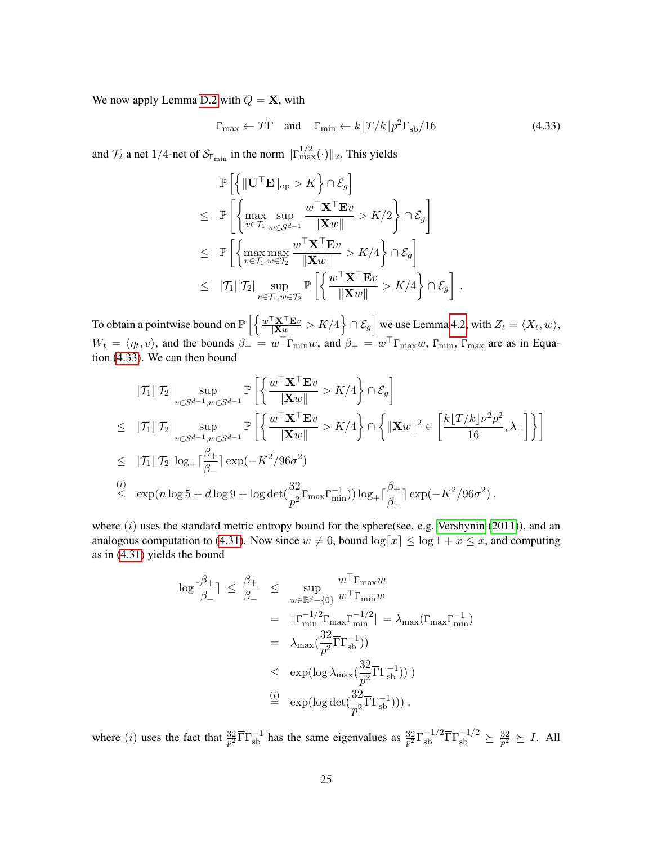We now apply Lemma [D.2](#page-23-0) with  $Q = \mathbf{X}$ , with

<span id="page-24-0"></span>
$$
\Gamma_{\text{max}} \leftarrow T\overline{\Gamma} \quad \text{and} \quad \Gamma_{\text{min}} \leftarrow k \left[ T/k \right] p^2 \Gamma_{\text{sb}} / 16 \tag{4.33}
$$

.

and  $\mathcal{T}_2$  a net 1/4-net of  $\mathcal{S}_{\Gamma_{\min}}$  in the norm  $\|\Gamma_{\max}^{1/2}(\cdot)\|_2$ . This yields

$$
\mathbb{P}\left[\left\{\|\mathbf{U}^{\top}\mathbf{E}\|_{\text{op}} > K\right\} \cap \mathcal{E}_{g}\right] \n\leq \mathbb{P}\left[\left\{\max_{v \in \mathcal{T}_1} \sup_{w \in \mathcal{S}^{d-1}} \frac{w^{\top}\mathbf{X}^{\top}\mathbf{E}v}{\|\mathbf{X}w\|} > K/2\right\} \cap \mathcal{E}_{g}\right] \n\leq \mathbb{P}\left[\left\{\max_{v \in \mathcal{T}_1} \max_{w \in \mathcal{T}_2} \frac{w^{\top}\mathbf{X}^{\top}\mathbf{E}v}{\|\mathbf{X}w\|} > K/4\right\} \cap \mathcal{E}_{g}\right] \n\leq |\mathcal{T}_1||\mathcal{T}_2|\sup_{v \in \mathcal{T}_1, w \in \mathcal{T}_2} \mathbb{P}\left[\left\{\frac{w^{\top}\mathbf{X}^{\top}\mathbf{E}v}{\|\mathbf{X}w\|} > K/4\right\} \cap \mathcal{E}_{g}\right]
$$

To obtain a pointwise bound on  $\mathbb{P}\left[\left\{\frac{w^\top\mathbf{X}^\top\mathbf{E} v}{\|\mathbf{X} w\|} > K/4\right\}\cap\mathcal{E}_g\right]$  we use Lemma [4.2,](#page-11-1) with  $Z_t = \langle X_t, w\rangle$ ,  $W_t = \langle \eta_t, v \rangle$ , and the bounds  $\beta_- = w^\top \Gamma_{\min} w$ , and  $\beta_+ = w^\top \Gamma_{\max} w$ ,  $\Gamma_{\min}$ ,  $\Gamma_{\max}$  are as in Equation [\(4.33\)](#page-24-0). We can then bound

$$
\begin{split}\n|\mathcal{T}_{1}||\mathcal{T}_{2}| & \sup_{v \in \mathcal{S}^{d-1}, w \in \mathcal{S}^{d-1}} \mathbb{P}\left[\left\{\frac{w^{\top} \mathbf{X}^{\top} \mathbf{E} v}{\|\mathbf{X} w\|} > K/4\right\} \cap \mathcal{E}_{g}\right] \\
&\leq |\mathcal{T}_{1}||\mathcal{T}_{2}| \sup_{v \in \mathcal{S}^{d-1}, w \in \mathcal{S}^{d-1}} \mathbb{P}\left[\left\{\frac{w^{\top} \mathbf{X}^{\top} \mathbf{E} v}{\|\mathbf{X} w\|} > K/4\right\} \cap \left\{\|\mathbf{X} w\|^{2} \in \left[\frac{k\lfloor T/k \rfloor \nu^{2} p^{2}}{16}, \lambda_{+}\right] \right\}\right] \\
&\leq |\mathcal{T}_{1}||\mathcal{T}_{2}| \log_{+} \lceil \frac{\beta_{+}}{\beta_{-}} \rceil \exp(-K^{2}/96\sigma^{2}) \\
&\leq \exp(n \log 5 + d \log 9 + \log \det(\frac{32}{p^{2}} \Gamma_{\text{max}} \Gamma_{\text{min}}^{-1})) \log_{+} \lceil \frac{\beta_{+}}{\beta_{-}} \rceil \exp(-K^{2}/96\sigma^{2}).\n\end{split}
$$

where  $(i)$  uses the standard metric entropy bound for the sphere(see, e.g. [Vershynin](#page-13-14) [\(2011\)](#page-13-14)), and an analogous computation to [\(4.31\)](#page-23-1). Now since  $w \neq 0$ , bound  $\log[x] \leq \log 1 + x \leq x$ , and computing as in [\(4.31\)](#page-23-1) yields the bound

$$
\log\left\lceil \frac{\beta_{+}}{\beta_{-}}\right\rceil \ \leq \ \frac{\beta_{+}}{\beta_{-}} \quad \leq \quad \sup_{w \in \mathbb{R}^{d} - \{0\}} \frac{w^{\top} \Gamma_{\max} w}{w^{\top} \Gamma_{\min} w} \\
= \quad \left\lVert \Gamma_{\min}^{-1/2} \Gamma_{\max} \Gamma_{\min}^{-1/2} \right\rVert = \lambda_{\max} (\Gamma_{\max} \Gamma_{\min}^{-1}) \\
= \quad \lambda_{\max} (\frac{32}{p^2} \overline{\Gamma} \Gamma_{\text{sb}}^{-1})) \\
\leq \quad \exp(\log \lambda_{\max} (\frac{32}{p^2} \overline{\Gamma} \Gamma_{\text{sb}}^{-1}))) \\
\stackrel{\text{(i)}}{=} \quad \exp(\log \det(\frac{32}{p^2} \overline{\Gamma} \Gamma_{\text{sb}}^{-1})))\ .
$$

where (*i*) uses the fact that  $\frac{32}{p^2}\overline{\Gamma}\Gamma_{\rm sb}^{-1}$  has the same eigenvalues as  $\frac{32}{p^2}\Gamma_{\rm sb}^{-1/2}\overline{\Gamma}\Gamma_{\rm sb}^{-1/2} \ge \frac{32}{p^2}$  $\frac{32}{p^2} \succeq I$ . All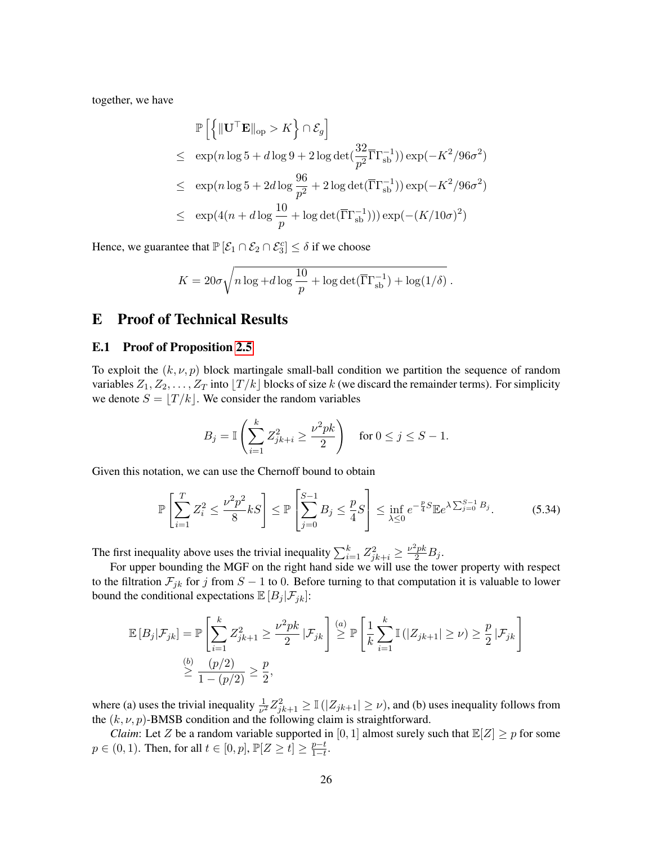together, we have

$$
\mathbb{P}\left[\left\{\|\mathbf{U}^{\top}\mathbf{E}\|_{\text{op}} > K\right\} \cap \mathcal{E}_{g}\right]
$$
  
\n
$$
\leq \exp(n \log 5 + d \log 9 + 2 \log \det(\frac{32}{p^2} \overline{\Gamma} \Gamma_{\text{sb}}^{-1})) \exp(-K^2/96\sigma^2)
$$
  
\n
$$
\leq \exp(n \log 5 + 2d \log \frac{96}{p^2} + 2 \log \det(\overline{\Gamma} \Gamma_{\text{sb}}^{-1})) \exp(-K^2/96\sigma^2)
$$
  
\n
$$
\leq \exp(4(n + d \log \frac{10}{p} + \log \det(\overline{\Gamma} \Gamma_{\text{sb}}^{-1}))) \exp(-(K/10\sigma)^2)
$$

Hence, we guarantee that  $\mathbb{P}[\mathcal{E}_1 \cap \mathcal{E}_2 \cap \mathcal{E}_3^c] \leq \delta$  if we choose

$$
K = 20\sigma \sqrt{n \log d \log \frac{10}{p} + \log \det(\overline{\Gamma} \Gamma_{\text{sb}}^{-1}) + \log(1/\delta)}.
$$

## <span id="page-25-1"></span>E Proof of Technical Results

#### <span id="page-25-0"></span>E.1 Proof of Proposition [2.5](#page-8-1)

To exploit the  $(k, \nu, p)$  block martingale small-ball condition we partition the sequence of random variables  $Z_1, Z_2, \ldots, Z_T$  into  $\lfloor T / k \rfloor$  blocks of size k (we discard the remainder terms). For simplicity we denote  $S = |T/k|$ . We consider the random variables

<span id="page-25-2"></span>
$$
B_j = \mathbb{I}\left(\sum_{i=1}^k Z_{jk+i}^2 \ge \frac{\nu^2 p k}{2}\right) \quad \text{for } 0 \le j \le S-1.
$$

Given this notation, we can use the Chernoff bound to obtain

$$
\mathbb{P}\left[\sum_{i=1}^{T} Z_i^2 \le \frac{\nu^2 p^2}{8} kS\right] \le \mathbb{P}\left[\sum_{j=0}^{S-1} B_j \le \frac{p}{4} S\right] \le \inf_{\lambda \le 0} e^{-\frac{p}{4} S} \mathbb{E} e^{\lambda \sum_{j=0}^{S-1} B_j}.
$$
 (5.34)

The first inequality above uses the trivial inequality  $\sum_{i=1}^{k} Z_{jk+i}^2 \ge \frac{\nu^2 p k}{2} B_j$ .

For upper bounding the MGF on the right hand side we will use the tower property with respect to the filtration  $\mathcal{F}_{jk}$  for j from  $S - 1$  to 0. Before turning to that computation it is valuable to lower bound the conditional expectations  $\mathbb{E}[B_j|\mathcal{F}_{jk}].$ 

$$
\mathbb{E}\left[B_j|\mathcal{F}_{jk}\right] = \mathbb{P}\left[\sum_{i=1}^k Z_{jk+1}^2 \ge \frac{\nu^2 p k}{2} |\mathcal{F}_{jk}\right] \stackrel{(a)}{\ge} \mathbb{P}\left[\frac{1}{k} \sum_{i=1}^k \mathbb{I}\left(|Z_{jk+1}| \ge \nu\right) \ge \frac{p}{2} |\mathcal{F}_{jk}\right]
$$
  

$$
\stackrel{(b)}{\ge} \frac{(p/2)}{1 - (p/2)} \ge \frac{p}{2},
$$

where (a) uses the trivial inequality  $\frac{1}{\nu^2}Z_{jk+1}^2 \geq \mathbb{I}(|Z_{jk+1}| \geq \nu)$ , and (b) uses inequality follows from the  $(k, \nu, p)$ -BMSB condition and the following claim is straightforward.

*Claim*: Let Z be a random variable supported in [0, 1] almost surely such that  $\mathbb{E}[Z] \geq p$  for some  $p \in (0, 1)$ . Then, for all  $t \in [0, p]$ ,  $\mathbb{P}[Z \ge t] \ge \frac{p-t}{1-t}$  $rac{p-t}{1-t}$ .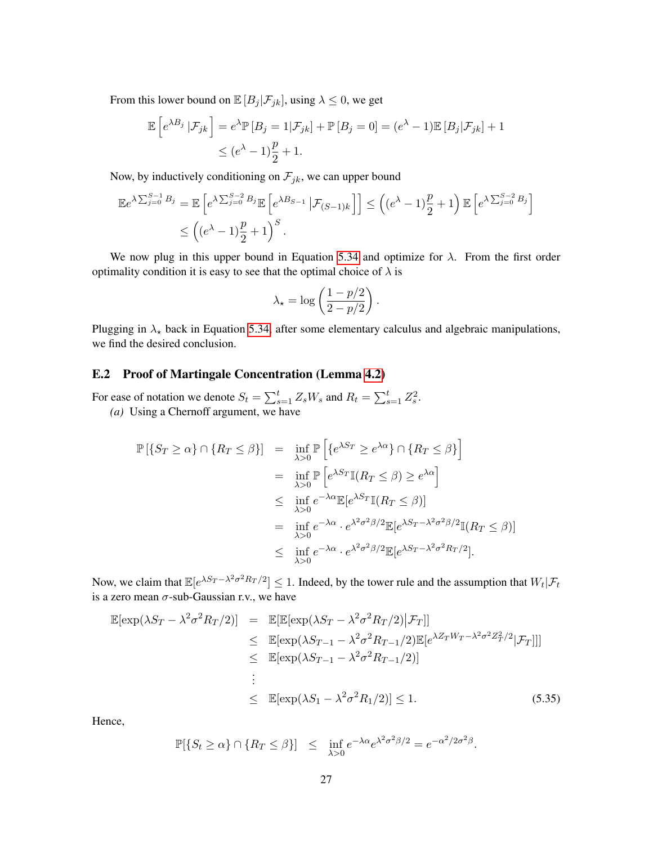From this lower bound on  $\mathbb{E}[B_j|\mathcal{F}_{jk}]$ , using  $\lambda \leq 0$ , we get

$$
\mathbb{E}\left[e^{\lambda B_j} \,|\mathcal{F}_{jk}\right] = e^{\lambda} \mathbb{P}\left[B_j = 1|\mathcal{F}_{jk}\right] + \mathbb{P}\left[B_j = 0\right] = (e^{\lambda} - 1)\mathbb{E}\left[B_j|\mathcal{F}_{jk}\right] + 1
$$

$$
\leq (e^{\lambda} - 1)\frac{p}{2} + 1.
$$

Now, by inductively conditioning on  $\mathcal{F}_{jk}$ , we can upper bound

$$
\mathbb{E}e^{\lambda \sum_{j=0}^{S-1} B_j} = \mathbb{E}\left[e^{\lambda \sum_{j=0}^{S-2} B_j} \mathbb{E}\left[e^{\lambda B_{S-1}} \left| \mathcal{F}_{(S-1)k}\right|\right]\right] \le \left((e^{\lambda} - 1)\frac{p}{2} + 1\right) \mathbb{E}\left[e^{\lambda \sum_{j=0}^{S-2} B_j}\right]
$$

$$
\le \left((e^{\lambda} - 1)\frac{p}{2} + 1\right)^S.
$$

We now plug in this upper bound in Equation [5.34](#page-25-2) and optimize for  $\lambda$ . From the first order optimality condition it is easy to see that the optimal choice of  $\lambda$  is

$$
\lambda_{\star} = \log\left(\frac{1 - p/2}{2 - p/2}\right).
$$

Plugging in  $\lambda_{\star}$  back in Equation [5.34,](#page-25-2) after some elementary calculus and algebraic manipulations, we find the desired conclusion.

### E.2 Proof of Martingale Concentration (Lemma [4.2\)](#page-11-1)

For ease of notation we denote  $S_t = \sum_{s=1}^t Z_s W_s$  and  $R_t = \sum_{s=1}^t Z_s^2$ .

*(a)* Using a Chernoff argument, we have

$$
\mathbb{P}[\{S_T \geq \alpha\} \cap \{R_T \leq \beta\}] = \inf_{\lambda > 0} \mathbb{P}\left[\{e^{\lambda S_T} \geq e^{\lambda \alpha}\} \cap \{R_T \leq \beta\}\right]
$$
  
\n
$$
= \inf_{\lambda > 0} \mathbb{P}\left[e^{\lambda S_T} \mathbb{I}(R_T \leq \beta) \geq e^{\lambda \alpha}\right]
$$
  
\n
$$
\leq \inf_{\lambda > 0} e^{-\lambda \alpha} \mathbb{E}[e^{\lambda S_T} \mathbb{I}(R_T \leq \beta)]
$$
  
\n
$$
= \inf_{\lambda > 0} e^{-\lambda \alpha} \cdot e^{\lambda^2 \sigma^2 \beta/2} \mathbb{E}[e^{\lambda S_T - \lambda^2 \sigma^2 \beta/2} \mathbb{I}(R_T \leq \beta)]
$$
  
\n
$$
\leq \inf_{\lambda > 0} e^{-\lambda \alpha} \cdot e^{\lambda^2 \sigma^2 \beta/2} \mathbb{E}[e^{\lambda S_T - \lambda^2 \sigma^2 R_T/2}].
$$

Now, we claim that  $\mathbb{E}[e^{\lambda S_T - \lambda^2 \sigma^2 R_T/2}] \le 1$ . Indeed, by the tower rule and the assumption that  $W_t | \mathcal{F}_t$ is a zero mean  $\sigma$ -sub-Gaussian r.v., we have

$$
\mathbb{E}[\exp(\lambda S_T - \lambda^2 \sigma^2 R_T/2)] = \mathbb{E}[\mathbb{E}[\exp(\lambda S_T - \lambda^2 \sigma^2 R_T/2)|\mathcal{F}_T]]
$$
  
\n
$$
\leq \mathbb{E}[\exp(\lambda S_{T-1} - \lambda^2 \sigma^2 R_{T-1}/2)\mathbb{E}[e^{\lambda Z_T W_T - \lambda^2 \sigma^2 Z_T^2/2}|\mathcal{F}_T]]]
$$
  
\n
$$
\leq \mathbb{E}[\exp(\lambda S_{T-1} - \lambda^2 \sigma^2 R_{T-1}/2)]
$$
  
\n
$$
\leq \mathbb{E}[\exp(\lambda S_1 - \lambda^2 \sigma^2 R_1/2)] \leq 1.
$$
 (5.35)

Hence,

$$
\mathbb{P}[\{S_t \ge \alpha\} \cap \{R_T \le \beta\}] \le \inf_{\lambda > 0} e^{-\lambda \alpha} e^{\lambda^2 \sigma^2 \beta/2} = e^{-\alpha^2/2\sigma^2 \beta}.
$$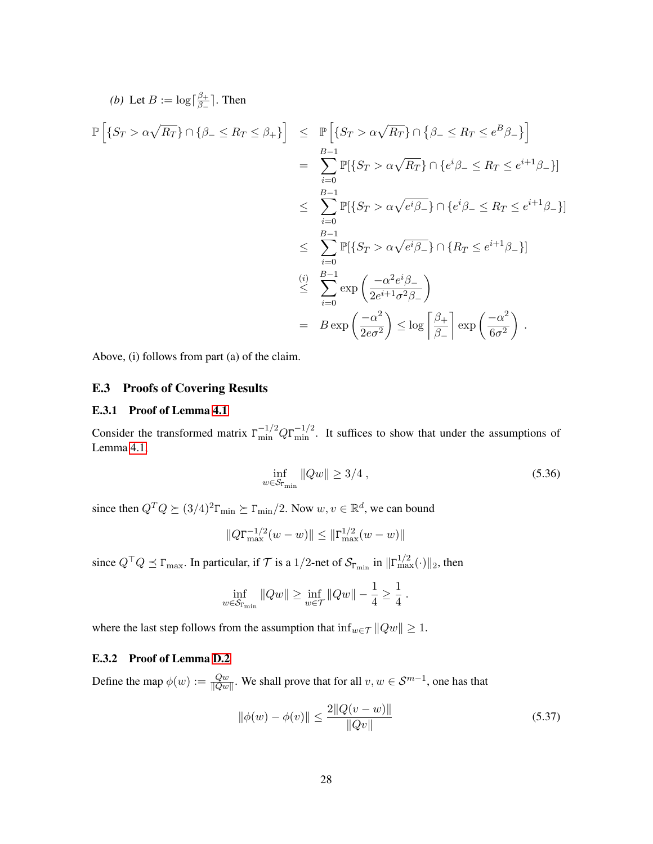(b) Let 
$$
B := \log\left[\frac{\beta_+}{\beta_-}\right]
$$
. Then  
\n
$$
\mathbb{P}\left[\{S_T > \alpha\sqrt{R_T}\}\cap\{\beta_- \le R_T \le \beta_+\}\right] \leq \mathbb{P}\left[\{S_T > \alpha\sqrt{R_T}\}\cap\{\beta_- \le R_T \le e^B\beta_-\}\right]
$$
\n
$$
= \sum_{i=0}^{B-1} \mathbb{P}[\{S_T > \alpha\sqrt{R_T}\}\cap\{e^i\beta_- \le R_T \le e^{i+1}\beta_-\}\]
$$
\n
$$
\leq \sum_{i=0}^{B-1} \mathbb{P}[\{S_T > \alpha\sqrt{e^i\beta_-}\}\cap\{e^i\beta_- \le R_T \le e^{i+1}\beta_-\}\]
$$
\n
$$
\leq \sum_{i=0}^{B-1} \mathbb{P}[\{S_T > \alpha\sqrt{e^i\beta_-}\}\cap\{R_T \le e^{i+1}\beta_-\}\]
$$
\n
$$
\leq \sum_{i=0}^{B-1} \exp\left(\frac{-\alpha^2 e^i \beta_-}{2e^{i+1}\sigma^2 \beta_-}\right)
$$
\n
$$
= B \exp\left(\frac{-\alpha^2}{2e^j}\right) \leq \log\left[\frac{\beta_+}{\beta_-}\right] \exp\left(\frac{-\alpha^2}{6\sigma^2}\right).
$$

Above, (i) follows from part (a) of the claim.

#### E.3 Proofs of Covering Results

### <span id="page-27-0"></span>E.3.1 Proof of Lemma [4.1](#page-10-0)

Consider the transformed matrix  $\Gamma_{\min}^{-1/2} Q \Gamma_{\min}^{-1/2}$ . It suffices to show that under the assumptions of Lemma [4.1,](#page-10-0)

$$
\inf_{w \in \mathcal{S}_{\Gamma_{\min}}} \|Qw\| \ge 3/4 , \tag{5.36}
$$

since then  $Q^T Q \succeq (3/4)^2 \Gamma_{\min} \succeq \Gamma_{\min}/2$ . Now  $w, v \in \mathbb{R}^d$ , we can bound

$$
||Q\Gamma_{\max}^{-1/2}(w-w)|| \le ||\Gamma_{\max}^{1/2}(w-w)||
$$

since  $Q^{\top}Q \preceq \Gamma_{\text{max}}$ . In particular, if  $\mathcal T$  is a 1/2-net of  $\mathcal S_{\Gamma_{\text{min}}}$  in  $\|\Gamma_{\text{max}}^{1/2}(\cdot)\|_2$ , then

$$
\inf_{w \in \mathcal{S}_{\Gamma_{\min}}} \|Qw\| \ge \inf_{w \in \mathcal{T}} \|Qw\| - \frac{1}{4} \ge \frac{1}{4}.
$$

where the last step follows from the assumption that  $\inf_{w \in \mathcal{T}} ||Qw|| \geq 1$ .

#### <span id="page-27-1"></span>E.3.2 Proof of Lemma [D.2](#page-23-0)

Define the map  $\phi(w) := \frac{Qw}{\|Qw\|}$ . We shall prove that for all  $v, w \in S^{m-1}$ , one has that

<span id="page-27-2"></span>
$$
\|\phi(w) - \phi(v)\| \le \frac{2\|Q(v - w)\|}{\|Qv\|} \tag{5.37}
$$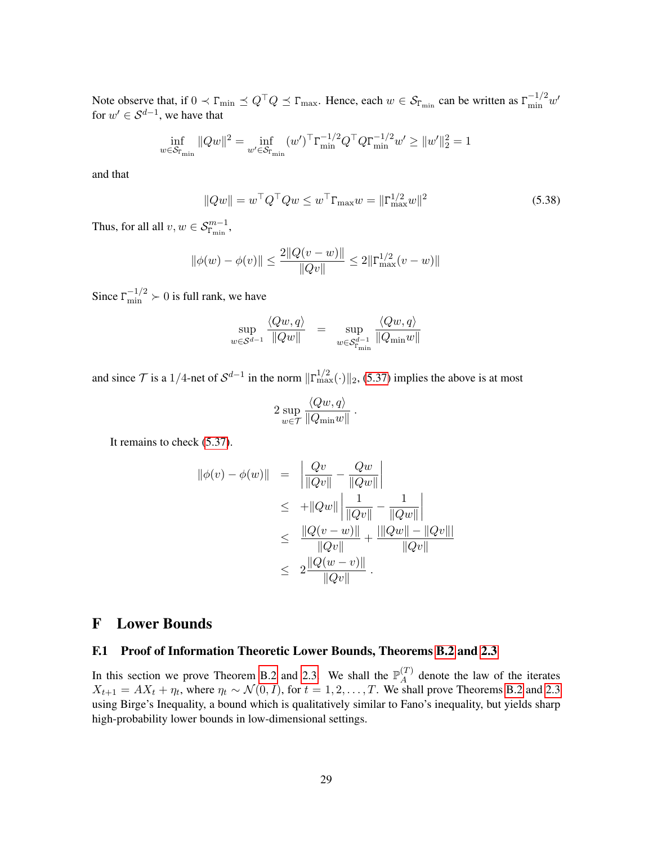Note observe that, if  $0 \prec \Gamma_{\min} \preceq Q^{\top} Q \preceq \Gamma_{\max}$ . Hence, each  $w \in \mathcal{S}_{\Gamma_{\min}}$  can be written as  $\Gamma_{\min}^{-1/2} w'$ for  $w' \in \mathcal{S}^{d-1}$ , we have that

$$
\inf_{w \in \mathcal{S}_{\Gamma_{\min}}} \|Qw\|^2 = \inf_{w' \in \mathcal{S}_{\Gamma_{\min}}} (w')^{\top} \Gamma_{\min}^{-1/2} Q^{\top} Q \Gamma_{\min}^{-1/2} w' \geq \|w'\|_2^2 = 1
$$

and that

$$
||Qw|| = w^{\top} Q^{\top} Q w \le w^{\top} \Gamma_{\text{max}} w = ||\Gamma_{\text{max}}^{1/2} w||^2
$$
\n(5.38)

Thus, for all all  $v, w \in S^{m-1}_{\Gamma_{\min}},$ 

$$
\|\phi(w) - \phi(v)\| \le \frac{2\|Q(v - w)\|}{\|Qv\|} \le 2\|\Gamma_{\text{max}}^{1/2}(v - w)\|
$$

Since  $\Gamma_{\min}^{-1/2} \succ 0$  is full rank, we have

$$
\sup_{w \in \mathcal{S}^{d-1}} \frac{\langle Qw,q \rangle}{\|Qw\|} \;\; = \;\; \sup_{w \in \mathcal{S}_{\Gamma_{\min}}^{d-1}} \frac{\langle Qw,q \rangle}{\|Q_{\min}w\|}
$$

and since  $\mathcal T$  is a 1/4-net of  $\mathcal S^{d-1}$  in the norm  $\|\Gamma_{\max}^{1/2}(\cdot)\|_2$ , [\(5.37\)](#page-27-2) implies the above is at most

$$
2 \sup_{w \in \mathcal{T}} \frac{\langle Qw, q \rangle}{\|Q_{\min}w\|} .
$$

It remains to check [\(5.37\)](#page-27-2).

$$
\|\phi(v) - \phi(w)\| = \left| \frac{Qv}{\|Qv\|} - \frac{Qw}{\|Qw\|} \right|
$$
  
\n
$$
\leq + \|Qw\| \left| \frac{1}{\|Qv\|} - \frac{1}{\|Qw\|} \right|
$$
  
\n
$$
\leq \frac{\|Q(v - w)\|}{\|Qv\|} + \frac{\|Qw\| - \|Qv\|\|}{\|Qv\|}
$$
  
\n
$$
\leq 2 \frac{\|Q(w - v)\|}{\|Qv\|} .
$$

## F Lower Bounds

## <span id="page-28-0"></span>F.1 Proof of Information Theoretic Lower Bounds, Theorems [B.2](#page-19-1) and [2.3](#page-6-1)

<span id="page-28-1"></span>In this section we prove Theorem [B.2](#page-19-1) and [2.3.](#page-6-1) We shall the  $\mathbb{P}_{A}^{(T)}$  $A^{\left(1\right)}$  denote the law of the iterates  $X_{t+1} = AX_t + \eta_t$ , where  $\eta_t \sim \mathcal{N}(0, I)$ , for  $t = 1, 2, \dots, T$ . We shall prove Theorems [B.2](#page-19-1) and [2.3](#page-6-1) using Birge's Inequality, a bound which is qualitatively similar to Fano's inequality, but yields sharp high-probability lower bounds in low-dimensional settings.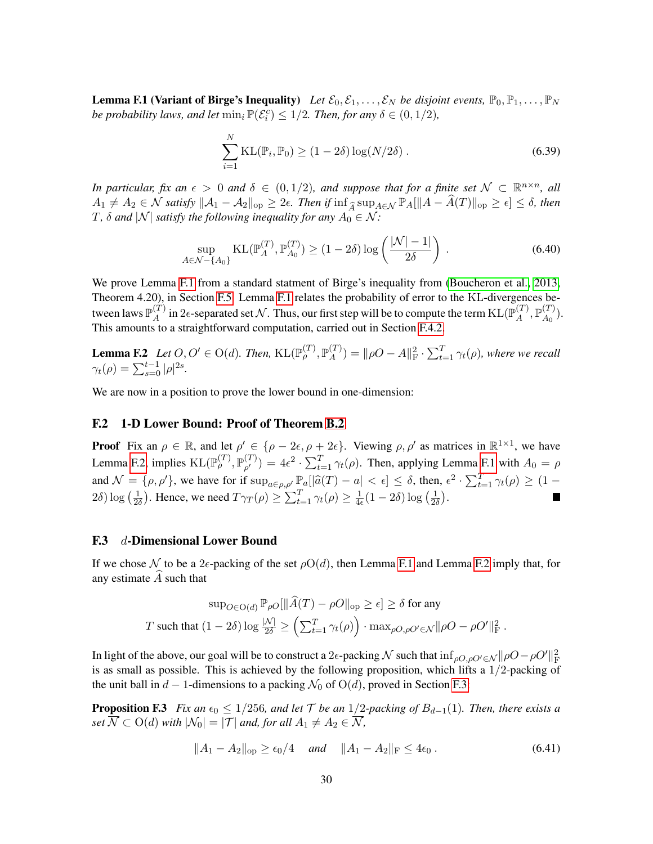**Lemma F.1 (Variant of Birge's Inequality)** Let  $\mathcal{E}_0, \mathcal{E}_1, \ldots, \mathcal{E}_N$  be disjoint events,  $\mathbb{P}_0, \mathbb{P}_1, \ldots, \mathbb{P}_N$ *be probability laws, and let*  $\min_i \mathbb{P}(\mathcal{E}_i^c) \leq 1/2$ *. Then, for any*  $\delta \in (0, 1/2)$ *,* 

$$
\sum_{i=1}^{N} \text{KL}(\mathbb{P}_i, \mathbb{P}_0) \ge (1 - 2\delta) \log(N/2\delta) \,. \tag{6.39}
$$

*In particular, fix an*  $\epsilon > 0$  *and*  $\delta \in (0, 1/2)$ *, and suppose that for a finite set*  $\mathcal{N} \subset \mathbb{R}^{n \times n}$ *, all*  $A_1 \neq A_2 \in \mathcal{N}$  *satisfy*  $||A_1 - A_2||_{op} \geq 2\epsilon$ . Then if  $\inf_{\widehat{A}} \sup_{A \in \mathcal{N}} \mathbb{P}_A[\|A - \widehat{A}(T)\|_{op} \geq \epsilon] \leq \delta$ , then T,  $\delta$  and  $|N|$  *satisfy the following inequality for any*  $A_0 \in \mathcal{N}$ *:* 

<span id="page-29-0"></span>
$$
\sup_{A \in \mathcal{N} - \{A_0\}} \mathrm{KL}(\mathbb{P}_A^{(T)}, \mathbb{P}_{A_0}^{(T)}) \ge (1 - 2\delta) \log \left( \frac{|\mathcal{N}| - 1|}{2\delta} \right) . \tag{6.40}
$$

We prove Lemma [F.1](#page-28-1) from a standard statment of Birge's inequality from [\(Boucheron et al., 2013,](#page-12-9) Theorem 4.20), in Section [F.5.](#page-32-0) Lemma [F.1](#page-28-1) relates the probability of error to the KL-divergences between laws  $\mathbb{P}_A^{(T)}$  $_A^{(T)}$  in 2 $\epsilon$ -separated set  ${\cal N}.$  Thus, our first step will be to compute the term  $\text{KL}({\mathbb{P}}^{(T)}_A)$  $\mathcal{F}_A^{(T)}, \mathbb{P}_{A_0}^{(T)}$  $\binom{4}{A_0}$ . This amounts to a straightforward computation, carried out in Section [F.4.2.](#page-32-1)

**Lemma F.2** Let  $O, O' \in O(d)$ . Then,  $\mathrm{KL}(\mathbb{P}_{\rho}^{(T)}, \mathbb{P}_{A}^{(T)})$  $\mathcal{A}^{(T)}_A)=\|\rho O-A\|^2_{\text{F}}\cdot\sum_{t=1}^T\gamma_t(\rho)$ , where we recall  $\gamma_t(\rho) = \sum_{s=0}^{t-1} |\rho|^{2s}.$ 

We are now in a position to prove the lower bound in one-dimension:

#### F.2 1-D Lower Bound: Proof of Theorem [B.2](#page-19-1)

**Proof** Fix an  $\rho \in \mathbb{R}$ , and let  $\rho' \in \{\rho - 2\epsilon, \rho + 2\epsilon\}$ . Viewing  $\rho, \rho'$  as matrices in  $\mathbb{R}^{1 \times 1}$ , we have Lemma [F.2,](#page-29-0) implies  $\text{KL}(\mathbb{P}_{\rho}^{(T)}, \mathbb{P}_{\rho'}^{(T)})$  $\mathcal{L}^{(T)}_{\rho'}$  =  $4\epsilon^2 \cdot \sum_{t=1}^T \gamma_t(\rho)$ . Then, applying Lemma [F.1](#page-28-1) with  $A_0 = \rho$ and  $\mathcal{N} = \{\rho, \rho'\}$ , we have for if  $\sup_{a \in \rho, \rho'} \mathbb{P}_a[|\widehat{a}(T) - a| < \epsilon] \leq \delta$ , then,  $\epsilon^2 \cdot \sum_{t=1}^T \gamma_t(\rho) \geq (1 - \epsilon)$  $(2\delta) \log \left(\frac{1}{2\delta}\right)$  $\frac{1}{2\delta}$ ). Hence, we need  $T\gamma_T(\rho) \ge \sum_{t=1}^T \gamma_t(\rho) \ge \frac{1}{4\delta}$  $\frac{1}{4\epsilon}(1-2\delta)\log\left(\frac{1}{2\delta}\right)$  $\frac{1}{2\delta}\big).$ 

#### F.3 d-Dimensional Lower Bound

If we chose N to be a  $2\epsilon$ -packing of the set  $\rho O(d)$ , then Lemma [F.1](#page-28-1) and Lemma [F.2](#page-29-0) imply that, for any estimate  $\widehat{A}$  such that

$$
\sup_{O \in O(d)} \mathbb{P}_{\rho O}[\|\widehat{A}(T) - \rho O\|_{\text{op}} \ge \epsilon] \ge \delta \text{ for any}
$$
  
*T* such that  $(1 - 2\delta) \log \frac{|N|}{2\delta} \ge \left(\sum_{t=1}^T \gamma_t(\rho)\right) \cdot \max_{\rho O, \rho O' \in \mathcal{N}} \|\rho O - \rho O'\|_{\text{F}}^2$ .

In light of the above, our goal will be to construct a 2 $\epsilon$ -packing  $\cal N$  such that  $\inf_{\rho O,\rho O' \in \cal N} \|\rho O - \rho O'\|_F^2$ is as small as possible. This is achieved by the following proposition, which lifts a  $1/2$ -packing of the unit ball in  $d-1$ -dimensions to a packing  $\mathcal{N}_0$  of  $O(d)$ , proved in Section [F.3:](#page-29-1)

**Proposition F.3** *Fix an*  $\epsilon_0 \leq 1/256$ *, and let*  $\mathcal T$  *be an*  $1/2$ *-packing of*  $B_{d-1}(1)$ *. Then, there exists a set*  $\overline{\mathcal{N}} \subset O(d)$  *with*  $|\mathcal{N}_0| = |\mathcal{T}|$  *and, for all*  $A_1 \neq A_2 \in \overline{\mathcal{N}}$ *,* 

<span id="page-29-1"></span>
$$
||A_1 - A_2||_{\text{op}} \ge \epsilon_0/4 \quad \text{and} \quad ||A_1 - A_2||_{\text{F}} \le 4\epsilon_0. \tag{6.41}
$$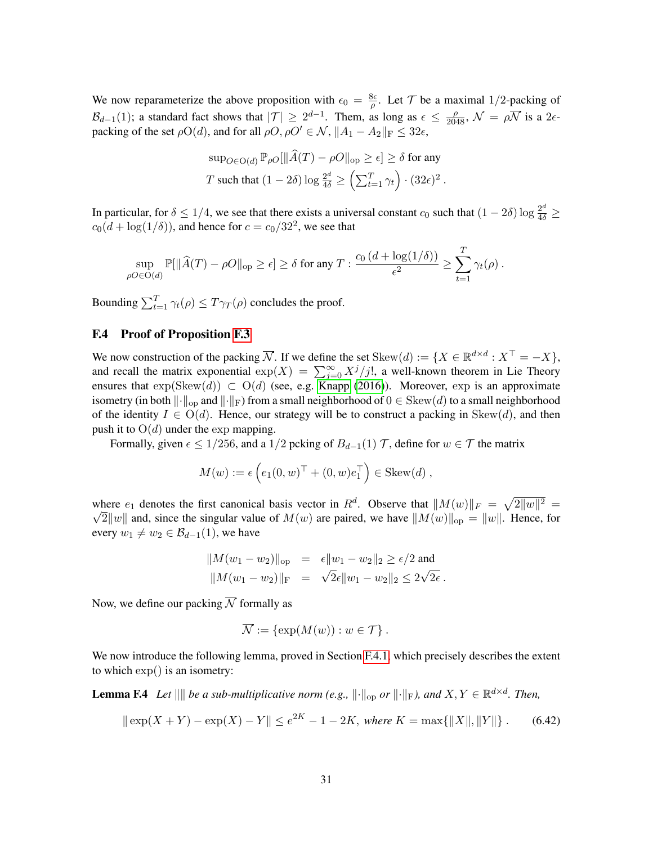We now reparameterize the above proposition with  $\epsilon_0 = \frac{8\epsilon}{\rho}$  $\frac{3\epsilon}{\rho}$ . Let T be a maximal 1/2-packing of  $\mathcal{B}_{d-1}(1)$ ; a standard fact shows that  $|\mathcal{T}| \geq 2^{d-1}$ . Them, as long as  $\epsilon \leq \frac{\rho}{2048}$ ,  $\mathcal{N} = \rho \overline{\mathcal{N}}$  is a 2 $\epsilon$ packing of the set  $\rho O(d)$ , and for all  $\rho O$ ,  $\rho O' \in \mathcal{N}$ ,  $||A_1 - A_2||_F \leq 32\epsilon$ ,

$$
\sup_{O \in O(d)} \mathbb{P}_{\rho O}[\|\widehat{A}(T) - \rho O\|_{\text{op}} \ge \epsilon] \ge \delta \text{ for any }
$$
  
*T* such that  $(1 - 2\delta) \log \frac{2^d}{4\delta} \ge \left(\sum_{t=1}^T \gamma_t\right) \cdot (32\epsilon)^2$ .

In particular, for  $\delta \leq 1/4$ , we see that there exists a universal constant  $c_0$  such that  $(1-2\delta) \log \frac{2^d}{4\delta} \geq$  $c_0(d + \log(1/\delta))$ , and hence for  $c = c_0/32^2$ , we see that

$$
\sup_{\rho O \in O(d)} \mathbb{P}[\|\widehat{A}(T) - \rho O\|_{\text{op}} \ge \epsilon] \ge \delta \text{ for any } T: \frac{c_0\left(d + \log(1/\delta)\right)}{\epsilon^2} \ge \sum_{t=1}^T \gamma_t(\rho).
$$

Bounding  $\sum_{t=1}^{T} \gamma_t(\rho) \leq T \gamma_T(\rho)$  concludes the proof.

## F.4 Proof of Proposition [F.3](#page-29-1)

We now construction of the packing  $\overline{\mathcal{N}}$ . If we define the set  $\text{Skew}(d) := \{X \in \mathbb{R}^{d \times d} : X^{\top} = -X\},\$ and recall the matrix exponential  $\exp(X) = \sum_{j=0}^{\infty} X^j/j!$ , a well-known theorem in Lie Theory ensures that  $exp(Skew(d)) \subset O(d)$  (see, e.g. [Knapp](#page-12-10) [\(2016\)](#page-12-10)). Moreover, exp is an approximate isometry (in both  $\|\cdot\|_{\text{op}}$  and  $\|\cdot\|_{\text{F}}$ ) from a small neighborhood of  $0 \in \text{Skew}(d)$  to a small neighborhood of the identity  $I \in O(d)$ . Hence, our strategy will be to construct a packing in Skew(d), and then push it to  $O(d)$  under the exp mapping.

Formally, given  $\epsilon \leq 1/256$ , and a 1/2 pcking of  $B_{d-1}(1)$  T, define for  $w \in T$  the matrix

$$
M(w) := \epsilon \left( e_1(0, w)^\top + (0, w) e_1^\top \right) \in \text{Skew}(d) ,
$$

where  $e_1$  denotes the first canonical basis vector in  $R^d$ . Observe that  $||M(w)||_F = \sqrt{2||w||^2} = \sqrt{2||w||^2}$  $\sqrt{2}||w||$  and, since the singular value of  $M(w)$  are paired, we have  $||M(w)||_{op} = ||w||$ . Hence, for every  $w_1 \neq w_2 \in \mathcal{B}_{d-1}(1)$ , we have

$$
||M(w_1 - w_2)||_{\text{op}} = \epsilon ||w_1 - w_2||_2 \ge \epsilon/2 \text{ and}
$$
  

$$
||M(w_1 - w_2)||_{\text{F}} = \sqrt{2}\epsilon ||w_1 - w_2||_2 \le 2\sqrt{2\epsilon}.
$$

Now, we define our packing  $\overline{N}$  formally as

<span id="page-30-0"></span>
$$
\overline{\mathcal{N}} := \{ \exp(M(w)) : w \in \mathcal{T} \}.
$$

We now introduce the following lemma, proved in Section [F.4.1,](#page-31-0) which precisely describes the extent to which exp() is an isometry:

**Lemma F.4** Let  $\| \|$  be a sub-multiplicative norm (e.g.,  $\| \cdot \|_{op}$  or  $\| \cdot \|_{F}$ ), and  $X, Y \in \mathbb{R}^{d \times d}$ . Then,

$$
\|\exp(X+Y) - \exp(X) - Y\| \le e^{2K} - 1 - 2K, \text{ where } K = \max\{\|X\|, \|Y\|\}.
$$
 (6.42)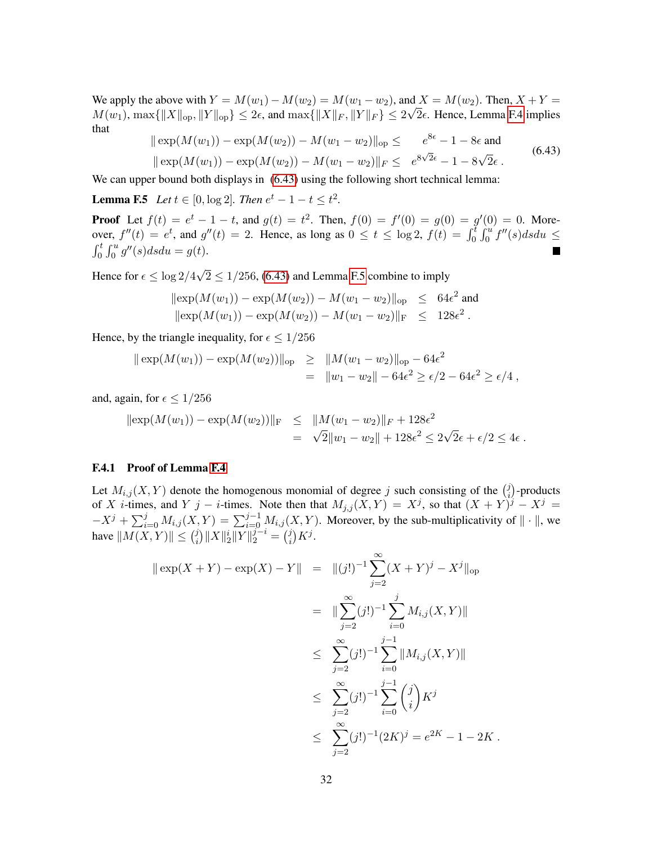We apply the above with  $Y = M(w_1) - M(w_2) = M(w_1 - w_2)$ , and  $X = M(w_2)$ . Then,  $X + Y =$  $M(w_1)$ ,  $\max\{\|X\|_{\text{op}}, \|Y\|_{\text{op}}\} \leq 2\epsilon$ , and  $\max\{\|X\|_F, \|Y\|_F\} \leq 2\sqrt{2\epsilon}$ . Hence, Lemma [F.4](#page-30-0) implies that

<span id="page-31-1"></span>
$$
\|\exp(M(w_1)) - \exp(M(w_2)) - M(w_1 - w_2)\|_{op} \le e^{8\epsilon} - 1 - 8\epsilon \text{ and}
$$
  

$$
\|\exp(M(w_1)) - \exp(M(w_2)) - M(w_1 - w_2)\|_F \le e^{8\sqrt{2}\epsilon} - 1 - 8\sqrt{2}\epsilon.
$$
 (6.43)

We can upper bound both displays in  $(6.43)$  using the following short technical lemma:

**Lemma F.5** *Let*  $t \in [0, \log 2]$ *. Then*  $e^t - 1 - t \le t^2$ *.* 

**Proof** Let  $f(t) = e^t - 1 - t$ , and  $g(t) = t^2$ . Then,  $f(0) = f'(0) = g(0) = g'(0) = 0$ . Moreover,  $f''(t) = e^t$ , and  $g''(t) = 2$ . Hence, as long as  $0 \le t \le \log 2$ ,  $f(t) = \int_0^t \int_0^u f''(s) ds du \le$  $\int_0^t \int_0^u g''(s) ds du = g(t).$ П

Hence for  $\epsilon \leq \log 2/4$ √  $2 \leq 1/256$ , [\(6.43\)](#page-31-1) and Lemma [F.5](#page-31-2) combine to imply

<span id="page-31-2"></span>
$$
\|\exp(M(w_1)) - \exp(M(w_2)) - M(w_1 - w_2)\|_{\text{op}} \leq 64\epsilon^2 \text{ and}
$$
  

$$
\|\exp(M(w_1)) - \exp(M(w_2)) - M(w_1 - w_2)\|_{\text{F}} \leq 128\epsilon^2.
$$

Hence, by the triangle inequality, for  $\epsilon \leq 1/256$ 

$$
\|\exp(M(w_1)) - \exp(M(w_2))\|_{\text{op}} \ge \|M(w_1 - w_2)\|_{\text{op}} - 64\epsilon^2
$$
  
= 
$$
\|w_1 - w_2\| - 64\epsilon^2 \ge \epsilon/2 - 64\epsilon^2 \ge \epsilon/4,
$$

and, again, for  $\epsilon \leq 1/256$ 

$$
\|\exp(M(w_1)) - \exp(M(w_2))\|_{\mathrm{F}} \le \|M(w_1 - w_2)\|_{\mathrm{F}} + 128\epsilon^2 = \sqrt{2}\|w_1 - w_2\| + 128\epsilon^2 \le 2\sqrt{2}\epsilon + \epsilon/2 \le 4\epsilon.
$$

#### <span id="page-31-0"></span>F.4.1 Proof of Lemma [F.4](#page-30-0)

Let  $M_{i,j}(X, Y)$  denote the homogenous monomial of degree j such consisting of the  $\binom{j}{i}$  $i$ )-products of X *i*-times, and Y j – *i*-times. Note then that  $M_{j,j}(X,Y) = X^j$ , so that  $(X + Y)^j - X^j =$  $-X^j + \sum_{i=0}^j M_{i,j}(X,Y) = \sum_{i=0}^{j-1} M_{i,j}(X,Y)$ . Moreover, by the sub-multiplicativity of  $\|\cdot\|$ , we have  $||M(X, Y)|| \leq {i \choose i}$  $\big\|j\big\|X\|_2^i\|Y\|_2^{j-i}=\big\|_i^j$  $j\choose iK^j.$ 

$$
\|\exp(X+Y) - \exp(X) - Y\| = \| (j!)^{-1} \sum_{j=2}^{\infty} (X+Y)^j - X^j \|_{\text{op}}
$$
  
\n
$$
= \| \sum_{j=2}^{\infty} (j!)^{-1} \sum_{i=0}^{j} M_{i,j}(X,Y) \|
$$
  
\n
$$
\leq \sum_{j=2}^{\infty} (j!)^{-1} \sum_{i=0}^{j-1} \| M_{i,j}(X,Y) \|
$$
  
\n
$$
\leq \sum_{j=2}^{\infty} (j!)^{-1} \sum_{i=0}^{j-1} {j \choose i} K^j
$$
  
\n
$$
\leq \sum_{j=2}^{\infty} (j!)^{-1} (2K)^j = e^{2K} - 1 - 2K.
$$